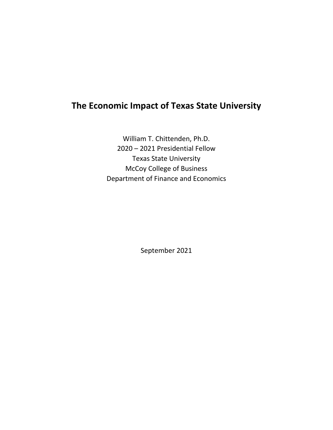# **The Economic Impact of Texas State University**

William T. Chittenden, Ph.D. 2020 – 2021 Presidential Fellow Texas State University McCoy College of Business Department of Finance and Economics

September 2021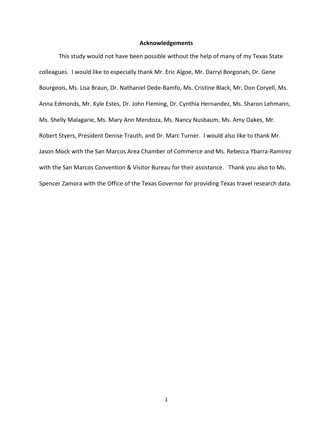#### **Acknowledgements**

This study would not have been possible without the help of many of my Texas State colleagues. I would like to especially thank Mr. Eric Algoe, Mr. Darryl Borgonah, Dr. Gene Bourgeois, Ms. Lisa Braun, Dr. Nathaniel Dede‐Bamfo, Ms. Cristine Black, Mr. Don Coryell, Ms. Anna Edmonds, Mr. Kyle Estes, Dr. John Fleming, Dr. Cynthia Hernandez, Ms. Sharon Lehmann, Ms. Shelly Malagarie, Ms. Mary Ann Mendoza, Ms. Nancy Nusbaum, Ms. Amy Oakes, Mr. Robert Styers, President Denise Trauth, and Dr. Marc Turner. I would also like to thank Mr. Jason Mock with the San Marcos Area Chamber of Commerce and Ms. Rebecca Ybarra‐Ramirez with the San Marcos Convention & Visitor Bureau for their assistance. Thank you also to Ms. Spencer Zamora with the Office of the Texas Governor for providing Texas travel research data.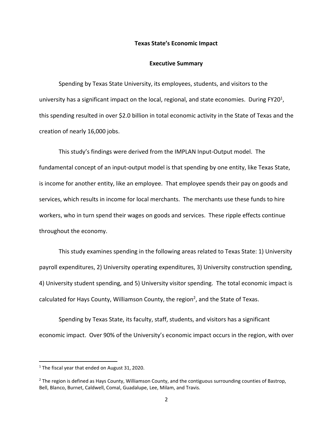#### **Texas State's Economic Impact**

#### **Executive Summary**

Spending by Texas State University, its employees, students, and visitors to the university has a significant impact on the local, regional, and state economies. During FY20 $^1$ , this spending resulted in over \$2.0 billion in total economic activity in the State of Texas and the creation of nearly 16,000 jobs.

This study's findings were derived from the IMPLAN Input‐Output model. The fundamental concept of an input-output model is that spending by one entity, like Texas State, is income for another entity, like an employee. That employee spends their pay on goods and services, which results in income for local merchants. The merchants use these funds to hire workers, who in turn spend their wages on goods and services. These ripple effects continue throughout the economy.

This study examines spending in the following areas related to Texas State: 1) University payroll expenditures, 2) University operating expenditures, 3) University construction spending, 4) University student spending, and 5) University visitor spending. The total economic impact is calculated for Hays County, Williamson County, the region<sup>2</sup>, and the State of Texas.

Spending by Texas State, its faculty, staff, students, and visitors has a significant economic impact. Over 90% of the University's economic impact occurs in the region, with over

<sup>&</sup>lt;sup>1</sup> The fiscal year that ended on August 31, 2020.

 $<sup>2</sup>$  The region is defined as Hays County, Williamson County, and the contiguous surrounding counties of Bastrop,</sup> Bell, Blanco, Burnet, Caldwell, Comal, Guadalupe, Lee, Milam, and Travis.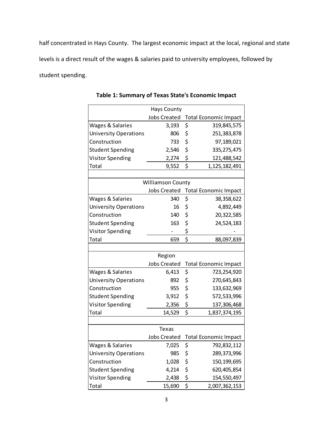half concentrated in Hays County. The largest economic impact at the local, regional and state levels is a direct result of the wages & salaries paid to university employees, followed by student spending.

|                              | <b>Hays County</b>       |                                 |                                    |
|------------------------------|--------------------------|---------------------------------|------------------------------------|
|                              | <b>Jobs Created</b>      |                                 | <b>Total Economic Impact</b>       |
| Wages & Salaries             | 3,193                    | \$                              | 319,845,575                        |
| <b>University Operations</b> | 806                      | \$                              | 251,383,878                        |
| Construction                 | 733                      | \$                              | 97,189,021                         |
| <b>Student Spending</b>      | 2,546                    | \$                              | 335, 275, 475                      |
| <b>Visitor Spending</b>      | 2,274                    | \$                              | 121,488,542                        |
| Total                        | 9,552                    | $\overline{\boldsymbol{\xi}}$   | 1,125,182,491                      |
|                              |                          |                                 |                                    |
|                              | <b>Williamson County</b> |                                 |                                    |
|                              |                          |                                 | Jobs Created Total Economic Impact |
| Wages & Salaries             | 340                      | \$                              | 38,358,622                         |
| <b>University Operations</b> | 16                       | \$                              | 4,892,449                          |
| Construction                 | 140                      | \$                              | 20,322,585                         |
| <b>Student Spending</b>      | 163                      | \$                              | 24,524,183                         |
| <b>Visitor Spending</b>      |                          | \$                              |                                    |
| Total                        | 659                      | $\overline{\boldsymbol{\zeta}}$ | 88,097,839                         |
|                              |                          |                                 |                                    |
|                              | Region                   |                                 |                                    |
|                              | <b>Jobs Created</b>      |                                 | <b>Total Economic Impact</b>       |
| Wages & Salaries             | 6,413                    | \$                              | 723,254,920                        |
| <b>University Operations</b> | 892                      | \$                              | 270,645,843                        |
| Construction                 | 955                      | \$                              | 133,632,969                        |
| <b>Student Spending</b>      | 3,912                    | \$                              | 572,533,996                        |
| <b>Visitor Spending</b>      | 2,356                    | \$                              | 137,306,468                        |
| Total                        | 14,529                   | \$                              | 1,837,374,195                      |
|                              |                          |                                 |                                    |
|                              | Texas                    |                                 |                                    |
|                              | <b>Jobs Created</b>      |                                 | <b>Total Economic Impact</b>       |
| Wages & Salaries             | 7,025                    | \$                              | 792,832,112                        |
| <b>University Operations</b> | 985                      | \$                              | 289,373,996                        |
| Construction                 | 1,028                    | \$                              | 150, 199, 695                      |
| <b>Student Spending</b>      | 4,214                    | \$                              | 620,405,854                        |
| <b>Visitor Spending</b>      | 2,438                    | $rac{5}{5}$                     | 154,550,497                        |
| Total                        | 15,690                   |                                 | 2,007,362,153                      |

**Table 1: Summary of Texas State's Economic Impact**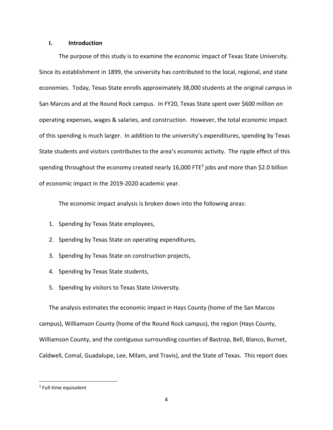#### **I. Introduction**

The purpose of this study is to examine the economic impact of Texas State University. Since its establishment in 1899, the university has contributed to the local, regional, and state economies. Today, Texas State enrolls approximately 38,000 students at the original campus in San Marcos and at the Round Rock campus. In FY20, Texas State spent over \$600 million on operating expenses, wages & salaries, and construction. However, the total economic impact of this spending is much larger. In addition to the university's expenditures, spending by Texas State students and visitors contributes to the area's economic activity. The ripple effect of this spending throughout the economy created nearly 16,000 FTE<sup>3</sup> jobs and more than \$2.0 billion of economic impact in the 2019‐2020 academic year.

The economic impact analysis is broken down into the following areas:

- 1. Spending by Texas State employees,
- 2. Spending by Texas State on operating expenditures,
- 3. Spending by Texas State on construction projects,
- 4. Spending by Texas State students,
- 5. Spending by visitors to Texas State University.

The analysis estimates the economic impact in Hays County (home of the San Marcos campus), Williamson County (home of the Round Rock campus), the region (Hays County, Williamson County, and the contiguous surrounding counties of Bastrop, Bell, Blanco, Burnet, Caldwell, Comal, Guadalupe, Lee, Milam, and Travis), and the State of Texas. This report does

 $3$  Full-time equivalent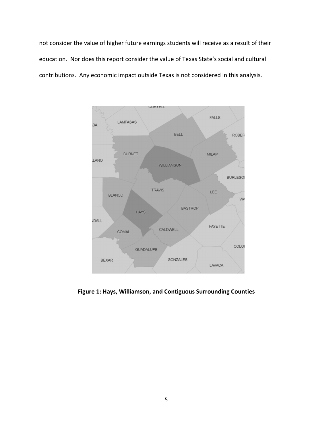not consider the value of higher future earnings students will receive as a result of their education. Nor does this report consider the value of Texas State's social and cultural contributions. Any economic impact outside Texas is not considered in this analysis.



**Figure 1: Hays, Williamson, and Contiguous Surrounding Counties**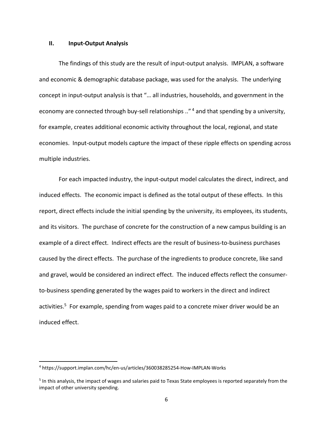#### **II. Input‐Output Analysis**

The findings of this study are the result of input-output analysis. IMPLAN, a software and economic & demographic database package, was used for the analysis. The underlying concept in input‐output analysis is that "… all industries, households, and government in the economy are connected through buy-sell relationships .."<sup>4</sup> and that spending by a university, for example, creates additional economic activity throughout the local, regional, and state economies. Input-output models capture the impact of these ripple effects on spending across multiple industries.

For each impacted industry, the input‐output model calculates the direct, indirect, and induced effects. The economic impact is defined as the total output of these effects. In this report, direct effects include the initial spending by the university, its employees, its students, and its visitors. The purchase of concrete for the construction of a new campus building is an example of a direct effect. Indirect effects are the result of business-to-business purchases caused by the direct effects. The purchase of the ingredients to produce concrete, like sand and gravel, would be considered an indirect effect. The induced effects reflect the consumer‐ to-business spending generated by the wages paid to workers in the direct and indirect activities.<sup>5</sup> For example, spending from wages paid to a concrete mixer driver would be an induced effect.

<sup>4</sup> https://support.implan.com/hc/en‐us/articles/360038285254‐How‐IMPLAN‐Works

<sup>5</sup> In this analysis, the impact of wages and salaries paid to Texas State employees is reported separately from the impact of other university spending.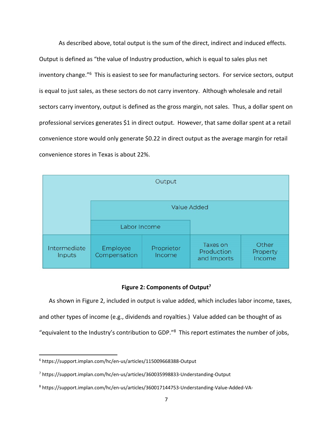As described above, total output is the sum of the direct, indirect and induced effects. Output is defined as "the value of Industry production, which is equal to sales plus net inventory change."6 This is easiest to see for manufacturing sectors. For service sectors, output is equal to just sales, as these sectors do not carry inventory. Although wholesale and retail sectors carry inventory, output is defined as the gross margin, not sales. Thus, a dollar spent on professional services generates \$1 in direct output. However, that same dollar spent at a retail convenience store would only generate \$0.22 in direct output as the average margin for retail convenience stores in Texas is about 22%.



#### **Figure 2: Components of Output7**

As shown in Figure 2, included in output is value added, which includes labor income, taxes, and other types of income (e.g., dividends and royalties.) Value added can be thought of as "equivalent to the Industry's contribution to GDP."8 This report estimates the number of jobs,

<sup>6</sup> https://support.implan.com/hc/en‐us/articles/115009668388‐Output

<sup>7</sup> https://support.implan.com/hc/en‐us/articles/360035998833‐Understanding‐Output

<sup>8</sup> https://support.implan.com/hc/en‐us/articles/360017144753‐Understanding‐Value‐Added‐VA‐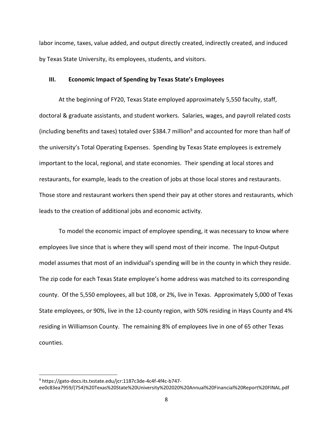labor income, taxes, value added, and output directly created, indirectly created, and induced by Texas State University, its employees, students, and visitors.

#### **III. Economic Impact of Spending by Texas State's Employees**

At the beginning of FY20, Texas State employed approximately 5,550 faculty, staff, doctoral & graduate assistants, and student workers. Salaries, wages, and payroll related costs (including benefits and taxes) totaled over \$384.7 million<sup>9</sup> and accounted for more than half of the university's Total Operating Expenses. Spending by Texas State employees is extremely important to the local, regional, and state economies. Their spending at local stores and restaurants, for example, leads to the creation of jobs at those local stores and restaurants. Those store and restaurant workers then spend their pay at other stores and restaurants, which leads to the creation of additional jobs and economic activity.

To model the economic impact of employee spending, it was necessary to know where employees live since that is where they will spend most of their income. The Input‐Output model assumes that most of an individual's spending will be in the county in which they reside. The zip code for each Texas State employee's home address was matched to its corresponding county. Of the 5,550 employees, all but 108, or 2%, live in Texas. Approximately 5,000 of Texas State employees, or 90%, live in the 12‐county region, with 50% residing in Hays County and 4% residing in Williamson County. The remaining 8% of employees live in one of 65 other Texas counties.

<sup>9</sup> https://gato‐docs.its.txstate.edu/jcr:1187c3de‐4c4f‐4f4c‐b747‐ ee0c83ea7959/(754)%20Texas%20State%20University%202020%20Annual%20Financial%20Report%20FINAL.pdf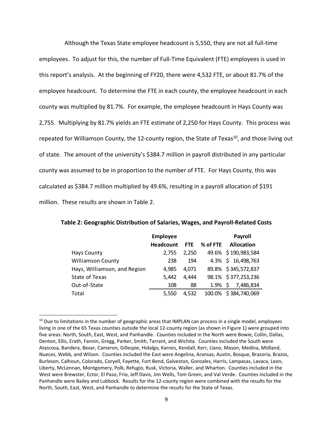Although the Texas State employee headcount is 5,550, they are not all full‐time employees. To adjust for this, the number of Full-Time Equivalent (FTE) employees is used in this report's analysis. At the beginning of FY20, there were 4,532 FTE, or about 81.7% of the employee headcount. To determine the FTE in each county, the employee headcount in each county was multiplied by 81.7%. For example, the employee headcount in Hays County was 2,755. Multiplying by 81.7% yields an FTE estimate of 2,250 for Hays County. This process was repeated for Williamson County, the 12-county region, the State of Texas<sup>10</sup>, and those living out of state. The amount of the university's \$384.7 million in payroll distributed in any particular county was assumed to be in proportion to the number of FTE. For Hays County, this was calculated as \$384.7 million multiplied by 49.6%, resulting in a payroll allocation of \$191 million. These results are shown in Table 2.

|                              | <b>Employee</b>  |            |          | Payroll              |
|------------------------------|------------------|------------|----------|----------------------|
|                              | <b>Headcount</b> | <b>FTE</b> | % of FTE | <b>Allocation</b>    |
| <b>Hays County</b>           | 2.755            | 2.250      |          | 49.6% \$190,983,584  |
| <b>Williamson County</b>     | 238              | 194        |          | 4.3% \$ 16,498,763   |
| Hays, Williamson, and Region | 4.985            | 4.071      |          | 89.8% \$345,572,837  |
| <b>State of Texas</b>        | 5,442            | 4,444      |          | 98.1% \$377,253,236  |
| Out-of-State                 | 108              | 88         |          | 1.9% \$ 7,486,834    |
| Total                        | 5,550            | 4,532      |          | 100.0% \$384,740,069 |

**Table 2: Geographic Distribution of Salaries, Wages, and Payroll‐Related Costs**

<sup>&</sup>lt;sup>10</sup> Due to limitations in the number of geographic areas that IMPLAN can process in a single model, employees living in one of the 65 Texas counties outside the local 12‐county region (as shown in Figure 1) were grouped into five areas: North, South, East, West, and Panhandle. Counties included in the North were Bowie, Collin, Dallas, Denton, Ellis, Erath, Fannin, Gregg, Parker, Smith, Tarrant, and Wichita. Counties included the South were Atascosa, Bandera, Bexar, Cameron, Gillespie, Hidalgo, Karnes, Kendall, Kerr, Llano, Mason, Medina, Midland, Nueces, Webb, and Wilson. Counties included the East were Angelina, Aransas, Austin, Bosque, Brazoria, Brazos, Burleson, Calhoun, Colorado, Coryell, Fayette, Fort Bend, Galveston, Gonzales, Harris, Lampasas, Lavaca, Leon, Liberty, McLennan, Montgomery, Polk, Refugio, Rusk, Victoria, Waller, and Wharton. Counties included in the West were Brewster, Ector, El Paso, Frio, Jeff Davis, Jim Wells, Tom Green, and Val Verde. Counties included in the Panhandle were Bailey and Lubbock. Results for the 12‐county region were combined with the results for the North, South, East, West, and Panhandle to determine the results for the State of Texas.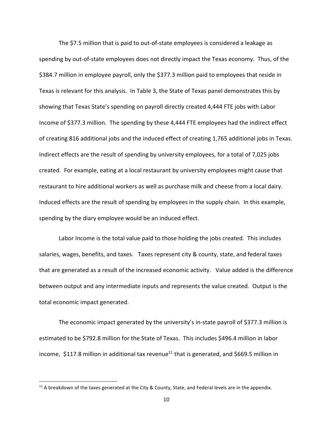The \$7.5 million that is paid to out‐of‐state employees is considered a leakage as spending by out‐of‐state employees does not directly impact the Texas economy. Thus, of the \$384.7 million in employee payroll, only the \$377.3 million paid to employees that reside in Texas is relevant for this analysis. In Table 3, the State of Texas panel demonstrates this by showing that Texas State's spending on payroll directly created 4,444 FTE jobs with Labor Income of \$377.3 million. The spending by these 4,444 FTE employees had the indirect effect of creating 816 additional jobs and the induced effect of creating 1,765 additional jobs in Texas. Indirect effects are the result of spending by university employees, for a total of 7,025 jobs created. For example, eating at a local restaurant by university employees might cause that restaurant to hire additional workers as well as purchase milk and cheese from a local dairy. Induced effects are the result of spending by employees in the supply chain. In this example, spending by the diary employee would be an induced effect.

Labor Income is the total value paid to those holding the jobs created. This includes salaries, wages, benefits, and taxes. Taxes represent city & county, state, and federal taxes that are generated as a result of the increased economic activity. Value added is the difference between output and any intermediate inputs and represents the value created. Output is the total economic impact generated.

The economic impact generated by the university's in-state payroll of \$377.3 million is estimated to be \$792.8 million for the State of Texas. This includes \$496.4 million in labor income,  $$117.8$  million in additional tax revenue<sup>11</sup> that is generated, and  $$669.5$  million in

 $11$  A breakdown of the taxes generated at the City & County, State, and Federal levels are in the appendix.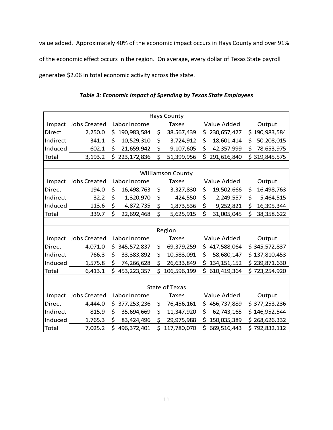value added. Approximately 40% of the economic impact occurs in Hays County and over 91% of the economic effect occurs in the region. On average, every dollar of Texas State payroll generates \$2.06 in total economic activity across the state.

|               |                          |     |               |    | <b>Hays County</b>    |     |               |    |               |  |
|---------------|--------------------------|-----|---------------|----|-----------------------|-----|---------------|----|---------------|--|
| Impact        | <b>Jobs Created</b>      |     | Labor Income  |    | <b>Taxes</b>          |     | Value Added   |    | Output        |  |
| Direct        | 2,250.0                  | \$. | 190,983,584   | \$ | 38,567,439            | \$. | 230,657,427   |    | \$190,983,584 |  |
| Indirect      | 341.1                    | \$  | 10,529,310    | \$ | 3,724,912             | \$  | 18,601,414    | \$ | 50,208,015    |  |
| Induced       | 602.1                    | \$  | 21,659,942    | \$ | 9,107,605             | \$  | 42,357,999    | \$ | 78,653,975    |  |
| Total         | 3,193.2                  | \$  | 223, 172, 836 | \$ | 51,399,956            | \$  | 291,616,840   |    | \$319,845,575 |  |
|               |                          |     |               |    |                       |     |               |    |               |  |
|               | <b>Williamson County</b> |     |               |    |                       |     |               |    |               |  |
| Impact        | <b>Jobs Created</b>      |     | Labor Income  |    | <b>Taxes</b>          |     | Value Added   |    | Output        |  |
| Direct        | 194.0                    | \$  | 16,498,763    | \$ | 3,327,830             | \$  | 19,502,666    | \$ | 16,498,763    |  |
| Indirect      | 32.2                     | \$  | 1,320,970     | \$ | 424,550               | \$  | 2,249,557     | \$ | 5,464,515     |  |
| Induced       | 113.6                    | \$  | 4,872,735     | \$ | 1,873,536             | \$  | 9,252,821     | \$ | 16,395,344    |  |
| Total         | 339.7                    | \$  | 22,692,468    | \$ | 5,625,915             | \$  | 31,005,045    | \$ | 38,358,622    |  |
|               |                          |     |               |    |                       |     |               |    |               |  |
|               |                          |     |               |    | Region                |     |               |    |               |  |
| Impact        | <b>Jobs Created</b>      |     | Labor Income  |    | <b>Taxes</b>          |     | Value Added   |    | Output        |  |
| Direct        | 4,071.0                  | \$. | 345,572,837   | \$ | 69,379,259            | \$  | 417,588,064   |    | \$345,572,837 |  |
| Indirect      | 766.3                    | \$  | 33,383,892    | \$ | 10,583,091            | \$  | 58,680,147    |    | \$137,810,453 |  |
| Induced       | 1,575.8                  | \$  | 74,266,628    | \$ | 26,633,849            | \$. | 134, 151, 152 |    | \$239,871,630 |  |
| Total         | 6,413.1                  | \$  | 453, 223, 357 | \$ | 106,596,199           | \$  | 610,419,364   |    | \$723,254,920 |  |
|               |                          |     |               |    |                       |     |               |    |               |  |
|               |                          |     |               |    | <b>State of Texas</b> |     |               |    |               |  |
| Impact        | <b>Jobs Created</b>      |     | Labor Income  |    | <b>Taxes</b>          |     | Value Added   |    | Output        |  |
| <b>Direct</b> | 4,444.0                  |     | \$377,253,236 | \$ | 76,456,161            | \$. | 456,737,889   |    | \$377,253,236 |  |
| Indirect      | 815.9                    | \$  | 35,694,669    | \$ | 11,347,920            | \$  | 62,743,165    |    | \$146,952,544 |  |
| Induced       | 1,765.3                  | \$  | 83,424,496    | \$ | 29,975,988            | \$  | 150,035,389   |    | \$268,626,332 |  |
| Total         | 7,025.2                  | \$  | 496,372,401   | \$ | 117,780,070           | \$  | 669,516,443   |    | \$792,832,112 |  |

*Table 3: Economic Impact of Spending by Texas State Employees*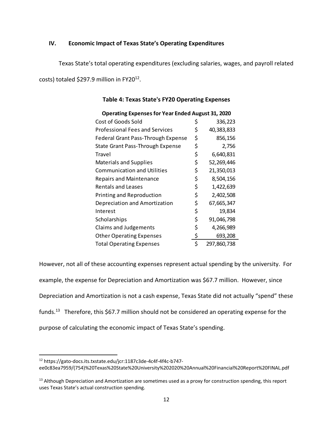### **IV. Economic Impact of Texas State's Operating Expenditures**

Texas State's total operating expenditures (excluding salaries, wages, and payroll related

costs) totaled \$297.9 million in FY20<sup>12</sup>.

| <b>Operating Expenses for Year Ended August 31, 2020</b> |    |             |  |  |  |  |  |  |
|----------------------------------------------------------|----|-------------|--|--|--|--|--|--|
| Cost of Goods Sold                                       | Ş  | 336,223     |  |  |  |  |  |  |
| <b>Professional Fees and Services</b>                    | \$ | 40,383,833  |  |  |  |  |  |  |
| Federal Grant Pass-Through Expense                       | \$ | 856,156     |  |  |  |  |  |  |
| State Grant Pass-Through Expense                         | \$ | 2,756       |  |  |  |  |  |  |
| Travel                                                   | \$ | 6,640,831   |  |  |  |  |  |  |
| <b>Materials and Supplies</b>                            | \$ | 52,269,446  |  |  |  |  |  |  |
| <b>Communication and Utilities</b>                       | \$ | 21,350,013  |  |  |  |  |  |  |
| <b>Repairs and Maintenance</b>                           | \$ | 8,504,156   |  |  |  |  |  |  |
| <b>Rentals and Leases</b>                                | \$ | 1,422,639   |  |  |  |  |  |  |
| Printing and Reproduction                                | \$ | 2,402,508   |  |  |  |  |  |  |
| Depreciation and Amortization                            | \$ | 67,665,347  |  |  |  |  |  |  |
| Interest                                                 | \$ | 19,834      |  |  |  |  |  |  |
| Scholarships                                             | \$ | 91,046,798  |  |  |  |  |  |  |
| Claims and Judgements                                    | \$ | 4,266,989   |  |  |  |  |  |  |
| <b>Other Operating Expenses</b>                          | \$ | 693,208     |  |  |  |  |  |  |
| <b>Total Operating Expenses</b>                          | Ś  | 297,860,738 |  |  |  |  |  |  |

### **Table 4: Texas State's FY20 Operating Expenses**

However, not all of these accounting expenses represent actual spending by the university. For example, the expense for Depreciation and Amortization was \$67.7 million. However, since Depreciation and Amortization is not a cash expense, Texas State did not actually "spend" these funds.<sup>13</sup> Therefore, this \$67.7 million should not be considered an operating expense for the purpose of calculating the economic impact of Texas State's spending.

ee0c83ea7959/(754)%20Texas%20State%20University%202020%20Annual%20Financial%20Report%20FINAL.pdf

<sup>12</sup> https://gato‐docs.its.txstate.edu/jcr:1187c3de‐4c4f‐4f4c‐b747‐

<sup>&</sup>lt;sup>13</sup> Although Depreciation and Amortization are sometimes used as a proxy for construction spending, this report uses Texas State's actual construction spending.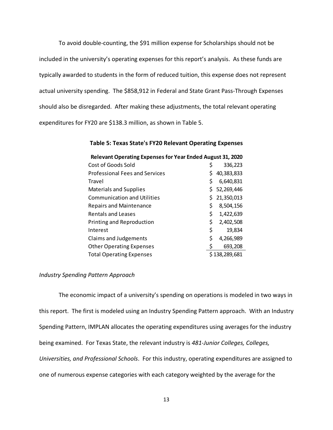To avoid double‐counting, the \$91 million expense for Scholarships should not be included in the university's operating expenses for this report's analysis. As these funds are typically awarded to students in the form of reduced tuition, this expense does not represent actual university spending. The \$858,912 in Federal and State Grant Pass-Through Expenses should also be disregarded. After making these adjustments, the total relevant operating expenditures for FY20 are \$138.3 million, as shown in Table 5.

#### **Table 5: Texas State's FY20 Relevant Operating Expenses**

| <b>Relevant Operating Expenses for Year Ended August 31, 2020</b> |    |               |  |  |  |  |
|-------------------------------------------------------------------|----|---------------|--|--|--|--|
| Cost of Goods Sold                                                |    | 336,223       |  |  |  |  |
| <b>Professional Fees and Services</b>                             |    | 40,383,833    |  |  |  |  |
| Travel                                                            | \$ | 6,640,831     |  |  |  |  |
| <b>Materials and Supplies</b>                                     |    | \$52,269,446  |  |  |  |  |
| <b>Communication and Utilities</b>                                | S. | 21,350,013    |  |  |  |  |
| <b>Repairs and Maintenance</b>                                    | \$ | 8,504,156     |  |  |  |  |
| Rentals and Leases                                                | \$ | 1,422,639     |  |  |  |  |
| Printing and Reproduction                                         | \$ | 2,402,508     |  |  |  |  |
| Interest                                                          | \$ | 19,834        |  |  |  |  |
| Claims and Judgements                                             | \$ | 4,266,989     |  |  |  |  |
| <b>Other Operating Expenses</b>                                   |    | 693,208       |  |  |  |  |
| <b>Total Operating Expenses</b>                                   |    | \$138,289,681 |  |  |  |  |

#### *Industry Spending Pattern Approach*

The economic impact of a university's spending on operations is modeled in two ways in this report. The first is modeled using an Industry Spending Pattern approach. With an Industry Spending Pattern, IMPLAN allocates the operating expenditures using averages for the industry being examined. For Texas State, the relevant industry is *481‐Junior Colleges, Colleges, Universities, and Professional Schools*. For this industry, operating expenditures are assigned to one of numerous expense categories with each category weighted by the average for the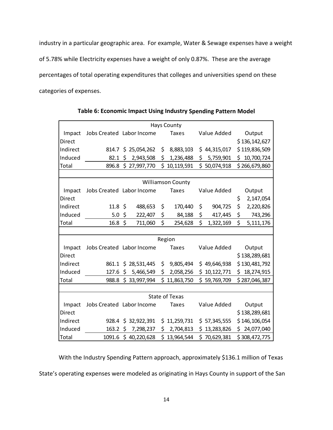industry in a particular geographic area. For example, Water & Sewage expenses have a weight

of 5.78% while Electricity expenses have a weight of only 0.87%. These are the average

percentages of total operating expenditures that colleges and universities spend on these

categories of expenses.

|               |                           |                     |     | <b>Hays County</b>       |     |              |     |               |
|---------------|---------------------------|---------------------|-----|--------------------------|-----|--------------|-----|---------------|
| Impact        | Jobs Created Labor Income |                     |     | <b>Taxes</b>             |     | Value Added  |     | Output        |
| Direct        |                           |                     |     |                          |     |              |     | \$136,142,627 |
| Indirect      |                           | 814.7 \$ 25,054,262 | \$  | 8,883,103                |     | \$44,315,017 |     | \$119,836,509 |
| Induced       | 82.1                      | \$<br>2,943,508     | \$  | 1,236,488                | \$. | 5,759,901    | \$. | 10,700,724    |
| Total         | 896.8                     | \$27,997,770        |     | \$10,119,591             |     | \$50,074,918 |     | \$266,679,860 |
|               |                           |                     |     |                          |     |              |     |               |
|               |                           |                     |     | <b>Williamson County</b> |     |              |     |               |
| Impact        | Jobs Created Labor Income |                     |     | <b>Taxes</b>             |     | Value Added  |     | Output        |
| <b>Direct</b> |                           |                     |     |                          |     |              | \$  | 2,147,054     |
| Indirect      | $11.8 \; \text{S}$        | 488,653             | \$  | 170,440                  | \$  | 904,725      | \$  | 2,220,826     |
| Induced       | 5.0                       | \$<br>222,407       | \$  | 84,188                   | \$  | 417,445      | \$  | 743,296       |
| Total         | $16.8 \; \zeta$           | 711,060             | \$  | 254,628                  | \$  | 1,322,169    | \$  | 5,111,176     |
|               |                           |                     |     |                          |     |              |     |               |
|               |                           |                     |     | Region                   |     |              |     |               |
| Impact        | Jobs Created Labor Income |                     |     | <b>Taxes</b>             |     | Value Added  |     | Output        |
| <b>Direct</b> |                           |                     |     |                          |     |              |     | \$138,289,681 |
| Indirect      |                           | 861.1 \$ 28,531,445 | \$  | 9,805,494                |     | \$49,646,938 |     | \$130,481,792 |
| Induced       | 127.6                     | \$5,466,549         | \$  | 2,058,256                |     | \$10,122,771 |     | \$18,274,915  |
| Total         |                           | 988.8 \$ 33,997,994 |     | \$11,863,750             |     | \$59,769,709 |     | \$287,046,387 |
|               |                           |                     |     |                          |     |              |     |               |
|               |                           |                     |     | <b>State of Texas</b>    |     |              |     |               |
| Impact        | Jobs Created Labor Income |                     |     | <b>Taxes</b>             |     | Value Added  |     | Output        |
| <b>Direct</b> |                           |                     |     |                          |     |              |     | \$138,289,681 |
| Indirect      | 928.4                     | \$32,922,391        | \$  | 11,259,731               |     | \$57,345,555 |     | \$146,106,054 |
| Induced       | 163.2                     | \$<br>7,298,237     | \$  | 2,704,813                |     | \$13,283,826 |     | \$24,077,040  |
| Total         | 1091.6                    | \$40,220,628        | \$. | 13,964,544               |     | \$70,629,381 |     | \$308,472,775 |

**Table 6: Economic Impact Using Industry Spending Pattern Model**

With the Industry Spending Pattern approach, approximately \$136.1 million of Texas State's operating expenses were modeled as originating in Hays County in support of the San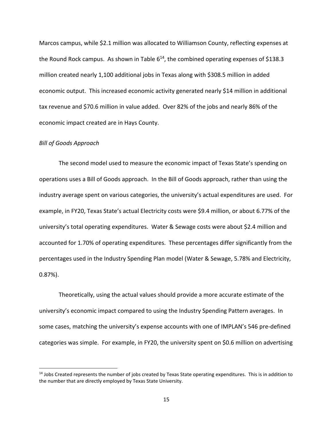Marcos campus, while \$2.1 million was allocated to Williamson County, reflecting expenses at the Round Rock campus. As shown in Table  $6^{14}$ , the combined operating expenses of \$138.3 million created nearly 1,100 additional jobs in Texas along with \$308.5 million in added economic output. This increased economic activity generated nearly \$14 million in additional tax revenue and \$70.6 million in value added. Over 82% of the jobs and nearly 86% of the economic impact created are in Hays County.

#### *Bill of Goods Approach*

The second model used to measure the economic impact of Texas State's spending on operations uses a Bill of Goods approach. In the Bill of Goods approach, rather than using the industry average spent on various categories, the university's actual expenditures are used. For example, in FY20, Texas State's actual Electricity costs were \$9.4 million, or about 6.77% of the university's total operating expenditures. Water & Sewage costs were about \$2.4 million and accounted for 1.70% of operating expenditures. These percentages differ significantly from the percentages used in the Industry Spending Plan model (Water & Sewage, 5.78% and Electricity, 0.87%).

Theoretically, using the actual values should provide a more accurate estimate of the university's economic impact compared to using the Industry Spending Pattern averages. In some cases, matching the university's expense accounts with one of IMPLAN's 546 pre-defined categories was simple. For example, in FY20, the university spent on \$0.6 million on advertising

 $14$  Jobs Created represents the number of jobs created by Texas State operating expenditures. This is in addition to the number that are directly employed by Texas State University.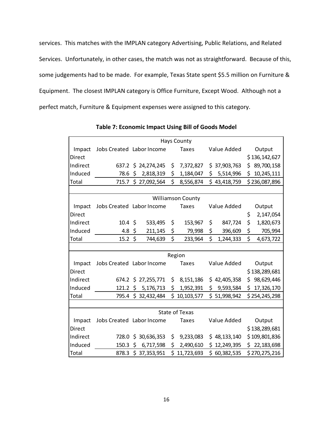services. This matches with the IMPLAN category Advertising, Public Relations, and Related Services. Unfortunately, in other cases, the match was not as straightforward. Because of this, some judgements had to be made. For example, Texas State spent \$5.5 million on Furniture & Equipment. The closest IMPLAN category is Office Furniture, Except Wood. Although not a perfect match, Furniture & Equipment expenses were assigned to this category.

|          |                    |                           |        | <b>Hays County</b>       |                 |                  |
|----------|--------------------|---------------------------|--------|--------------------------|-----------------|------------------|
| Impact   |                    | Jobs Created Labor Income |        | <b>Taxes</b>             | Value Added     | Output           |
| Direct   |                    |                           |        |                          |                 | \$136,142,627    |
| Indirect |                    | 637.2 \$ 24,274,245       | \$     | 7,372,827                | \$37,903,763    | \$<br>89,700,158 |
| Induced  | 78.6               | \$<br>2,818,319           | \$     | 1,184,047                | 5,514,996<br>\$ | \$<br>10,245,111 |
| Total    | 715.7              | \$27,092,564              | \$     | 8,556,874                | \$43,418,759    | \$236,087,896    |
|          |                    |                           |        |                          |                 |                  |
|          |                    |                           |        | <b>Williamson County</b> |                 |                  |
| Impact   |                    | Jobs Created Labor Income |        | <b>Taxes</b>             | Value Added     | Output           |
| Direct   |                    |                           |        |                          |                 | \$<br>2,147,054  |
| Indirect | $10.4 \; \text{S}$ | 533,495                   | \$     | 153,967                  | \$<br>847,724   | \$<br>1,820,673  |
| Induced  | 4.8                | \$<br>211,145             | \$     | 79,998                   | \$<br>396,609   | \$<br>705,994    |
| Total    | 15.2               | \$<br>744,639             | \$     | 233,964                  | \$<br>1,244,333 | \$<br>4,673,722  |
|          |                    |                           |        |                          |                 |                  |
|          |                    |                           | Region |                          |                 |                  |
| Impact   |                    | Jobs Created Labor Income |        | <b>Taxes</b>             | Value Added     | Output           |
| Direct   |                    |                           |        |                          |                 | \$138,289,681    |
| Indirect |                    | 674.2 \$ 27,255,771       | \$     | 8, 151, 186              | \$42,405,358    | \$<br>98,629,446 |
| Induced  |                    | 121.2 \$ 5,176,713        | \$     | 1,952,391                | \$9,593,584     | \$17,326,170     |
| Total    |                    | 795.4 \$ 32,432,484       |        | \$10,103,577             | \$51,998,942    | \$254,245,298    |
|          |                    |                           |        |                          |                 |                  |
|          |                    |                           |        | <b>State of Texas</b>    |                 |                  |
| Impact   |                    | Jobs Created Labor Income |        | <b>Taxes</b>             | Value Added     | Output           |
| Direct   |                    |                           |        |                          |                 | \$138,289,681    |
| Indirect | 728.0              | \$30,636,353              | \$     | 9,233,083                | \$48,133,140    | \$109,801,836    |
| Induced  | 150.3              | $\zeta$<br>6,717,598      | \$     | 2,490,610                | \$12,249,395    | \$22,183,698     |
| Total    |                    | 878.3 \$ 37,353,951       |        | \$11,723,693             | \$60,382,535    | \$270,275,216    |

**Table 7: Economic Impact Using Bill of Goods Model**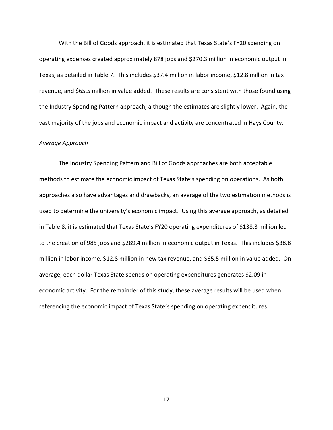With the Bill of Goods approach, it is estimated that Texas State's FY20 spending on operating expenses created approximately 878 jobs and \$270.3 million in economic output in Texas, as detailed in Table 7. This includes \$37.4 million in labor income, \$12.8 million in tax revenue, and \$65.5 million in value added. These results are consistent with those found using the Industry Spending Pattern approach, although the estimates are slightly lower. Again, the vast majority of the jobs and economic impact and activity are concentrated in Hays County.

#### *Average Approach*

The Industry Spending Pattern and Bill of Goods approaches are both acceptable methods to estimate the economic impact of Texas State's spending on operations. As both approaches also have advantages and drawbacks, an average of the two estimation methods is used to determine the university's economic impact. Using this average approach, as detailed in Table 8, it is estimated that Texas State's FY20 operating expenditures of \$138.3 million led to the creation of 985 jobs and \$289.4 million in economic output in Texas. This includes \$38.8 million in labor income, \$12.8 million in new tax revenue, and \$65.5 million in value added. On average, each dollar Texas State spends on operating expenditures generates \$2.09 in economic activity. For the remainder of this study, these average results will be used when referencing the economic impact of Texas State's spending on operating expenditures.

17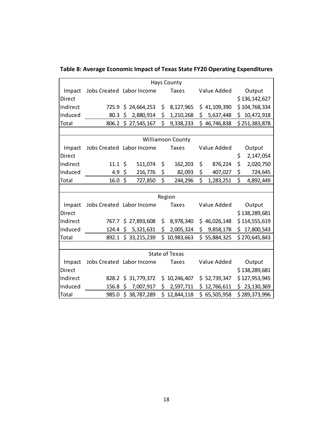|          |                          |                           |        | <b>Hays County</b>    |     |              |    |               |  |  |
|----------|--------------------------|---------------------------|--------|-----------------------|-----|--------------|----|---------------|--|--|
| Impact   |                          | Jobs Created Labor Income |        | <b>Taxes</b>          |     | Value Added  |    | Output        |  |  |
| Direct   |                          |                           |        |                       |     |              |    | \$136,142,627 |  |  |
| Indirect |                          | 725.9 \$ 24,664,253       | \$     | 8,127,965             |     | \$41,109,390 |    | \$104,768,334 |  |  |
| Induced  | 80.3                     | \$<br>2,880,914           | \$     | 1,210,268             | \$. | 5,637,448    |    | \$10,472,918  |  |  |
| Total    | 806.2                    | \$27,545,167              | \$     | 9,338,233             |     | \$46,746,838 |    | \$251,383,878 |  |  |
|          |                          |                           |        |                       |     |              |    |               |  |  |
|          | <b>Williamson County</b> |                           |        |                       |     |              |    |               |  |  |
| Impact   |                          | Jobs Created Labor Income |        | <b>Taxes</b>          |     | Value Added  |    | Output        |  |  |
| Direct   |                          |                           |        |                       |     |              | \$ | 2,147,054     |  |  |
| Indirect | $11.1 \; \text{S}$       | 511,074                   | \$     | 162,203               | \$  | 876,224      | \$ | 2,020,750     |  |  |
| Induced  | 4.9                      | \$<br>216,776             | \$     | 82,093                | \$  | 407,027      | \$ | 724,645       |  |  |
| Total    | 16.0                     | \$<br>727,850             | \$     | 244,296               | \$  | 1,283,251    | \$ | 4,892,449     |  |  |
|          |                          |                           |        |                       |     |              |    |               |  |  |
|          |                          |                           | Region |                       |     |              |    |               |  |  |
| Impact   |                          | Jobs Created Labor Income |        | <b>Taxes</b>          |     | Value Added  |    | Output        |  |  |
| Direct   |                          |                           |        |                       |     |              |    | \$138,289,681 |  |  |
| Indirect | 767.7                    | \$27,893,608              | \$     | 8,978,340             |     | \$46,026,148 |    | \$114,555,619 |  |  |
| Induced  |                          | 124.4 \$ 5,321,631        | \$     | 2,005,324             |     | \$9,858,178  |    | \$17,800,543  |  |  |
| Total    | 892.1                    | \$33,215,239              | \$     | 10,983,663            |     | \$55,884,325 |    | \$270,645,843 |  |  |
|          |                          |                           |        |                       |     |              |    |               |  |  |
|          |                          |                           |        | <b>State of Texas</b> |     |              |    |               |  |  |
| Impact   |                          | Jobs Created Labor Income |        | <b>Taxes</b>          |     | Value Added  |    | Output        |  |  |
| Direct   |                          |                           |        |                       |     |              |    | \$138,289,681 |  |  |
| Indirect | 828.2                    | \$31,779,372              | \$     | 10,246,407            |     | \$52,739,347 |    | \$127,953,945 |  |  |
| Induced  | 156.8                    | \$<br>7,007,917           | \$     | 2,597,711             |     | \$12,766,611 |    | \$23,130,369  |  |  |
| Total    | 985.0                    | \$38,787,289              |        | \$12,844,118          |     | \$65,505,958 |    | \$289,373,996 |  |  |

**Table 8: Average Economic Impact of Texas State FY20 Operating Expenditures**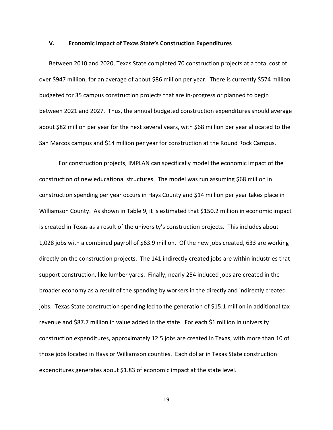#### **V. Economic Impact of Texas State's Construction Expenditures**

Between 2010 and 2020, Texas State completed 70 construction projects at a total cost of over \$947 million, for an average of about \$86 million per year. There is currently \$574 million budgeted for 35 campus construction projects that are in‐progress or planned to begin between 2021 and 2027. Thus, the annual budgeted construction expenditures should average about \$82 million per year for the next several years, with \$68 million per year allocated to the San Marcos campus and \$14 million per year for construction at the Round Rock Campus.

For construction projects, IMPLAN can specifically model the economic impact of the construction of new educational structures. The model was run assuming \$68 million in construction spending per year occurs in Hays County and \$14 million per year takes place in Williamson County. As shown in Table 9, it is estimated that \$150.2 million in economic impact is created in Texas as a result of the university's construction projects. This includes about 1,028 jobs with a combined payroll of \$63.9 million. Of the new jobs created, 633 are working directly on the construction projects. The 141 indirectly created jobs are within industries that support construction, like lumber yards. Finally, nearly 254 induced jobs are created in the broader economy as a result of the spending by workers in the directly and indirectly created jobs. Texas State construction spending led to the generation of \$15.1 million in additional tax revenue and \$87.7 million in value added in the state. For each \$1 million in university construction expenditures, approximately 12.5 jobs are created in Texas, with more than 10 of those jobs located in Hays or Williamson counties. Each dollar in Texas State construction expenditures generates about \$1.83 of economic impact at the state level.

19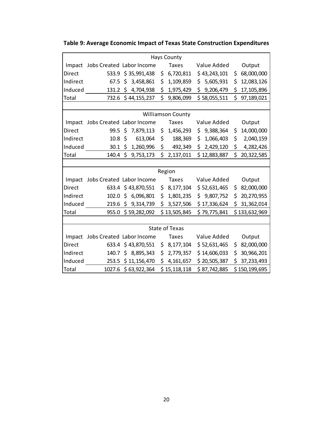**Table 9: Average Economic Impact of Texas State Construction Expenditures**

|          |                           |  |                     |    | <b>Hays County</b>    |    |               |    |               |  |
|----------|---------------------------|--|---------------------|----|-----------------------|----|---------------|----|---------------|--|
| Impact   | Jobs Created Labor Income |  |                     |    | <b>Taxes</b>          |    | Value Added   |    | Output        |  |
| Direct   |                           |  | 533.9 \$35,991,438  | \$ | 6,720,811             |    | \$43,243,101  | \$ | 68,000,000    |  |
| Indirect | 67.5                      |  | \$3,458,861         | \$ | 1,109,859             |    | \$5,605,931   | \$ | 12,083,126    |  |
| Induced  |                           |  | 131.2 \$ 4,704,938  | \$ | 1,975,429             |    | \$9,206,479   | \$ | 17,105,896    |  |
| Total    |                           |  | 732.6 \$44,155,237  | \$ | 9,806,099             |    | \$58,055,511  | \$ | 97,189,021    |  |
|          |                           |  |                     |    |                       |    |               |    |               |  |
|          | <b>Williamson County</b>  |  |                     |    |                       |    |               |    |               |  |
| Impact   | Jobs Created Labor Income |  |                     |    | <b>Taxes</b>          |    | Value Added   |    | Output        |  |
| Direct   | $99.5$ \$                 |  | 7,879,113           | \$ | 1,456,293             | \$ | 9,388,364     | \$ | 14,000,000    |  |
| Indirect | $10.8 \; \text{S}$        |  | 613,064             | \$ | 188,369               | \$ | 1,066,403     | \$ | 2,040,159     |  |
| Induced  | $30.1 \; \text{S}$        |  | 1,260,996           | \$ | 492,349               |    | \$2,429,120   | \$ | 4,282,426     |  |
| Total    |                           |  | 140.4 \$ 9,753,173  | \$ | 2,137,011             |    | \$12,883,887  |    | \$20,322,585  |  |
|          |                           |  |                     |    |                       |    |               |    |               |  |
|          |                           |  |                     |    | Region                |    |               |    |               |  |
| Impact   | Jobs Created Labor Income |  |                     |    | <b>Taxes</b>          |    | Value Added   |    | Output        |  |
| Direct   |                           |  | 633.4 \$43,870,551  | \$ | 8,177,104             |    | \$ 52,631,465 | \$ | 82,000,000    |  |
| Indirect | 102.0                     |  | \$6,096,801         | \$ | 1,801,235             |    | \$9,807,752   | \$ | 20,270,955    |  |
| Induced  |                           |  | 219.6 \$ 9,314,739  | \$ | 3,527,506             |    | \$17,336,624  | \$ | 31,362,014    |  |
| Total    | 955.0                     |  | \$59,282,092        |    | \$13,505,845          |    | \$79,775,841  |    | \$133,632,969 |  |
|          |                           |  |                     |    |                       |    |               |    |               |  |
|          |                           |  |                     |    | <b>State of Texas</b> |    |               |    |               |  |
| Impact   | Jobs Created Labor Income |  |                     |    | <b>Taxes</b>          |    | Value Added   |    | Output        |  |
| Direct   |                           |  | 633.4 \$43,870,551  | \$ | 8,177,104             |    | \$ 52,631,465 | \$ | 82,000,000    |  |
| Indirect | 140.7                     |  | \$8,895,343         | \$ | 2,779,357             |    | \$14,606,033  | \$ | 30,966,201    |  |
| Induced  |                           |  | 253.5 \$11,156,470  | \$ | 4,161,657             |    | \$20,505,387  | \$ | 37,233,493    |  |
| Total    |                           |  | 1027.6 \$63,922,364 |    | \$15,118,118          |    | \$87,742,885  |    | \$150,199,695 |  |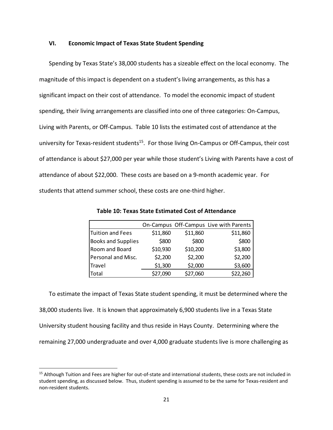#### **VI. Economic Impact of Texas State Student Spending**

Spending by Texas State's 38,000 students has a sizeable effect on the local economy. The magnitude of this impact is dependent on a student's living arrangements, as this has a significant impact on their cost of attendance. To model the economic impact of student spending, their living arrangements are classified into one of three categories: On‐Campus, Living with Parents, or Off‐Campus. Table 10 lists the estimated cost of attendance at the university for Texas-resident students<sup>15</sup>. For those living On-Campus or Off-Campus, their cost of attendance is about \$27,000 per year while those student's Living with Parents have a cost of attendance of about \$22,000. These costs are based on a 9‐month academic year. For students that attend summer school, these costs are one‐third higher.

|                           |          |          | On-Campus Off-Campus Live with Parents |
|---------------------------|----------|----------|----------------------------------------|
| Tuition and Fees          | \$11,860 | \$11,860 | \$11,860                               |
| <b>Books and Supplies</b> | \$800    | \$800    | \$800                                  |
| Room and Board            | \$10,930 | \$10,200 | \$3,800                                |
| Personal and Misc.        | \$2,200  | \$2,200  | \$2,200                                |
| Travel                    | \$1,300  | \$2,000  | \$3,600                                |
| Total                     | \$27,090 | \$27,060 | \$22,260                               |

**Table 10: Texas State Estimated Cost of Attendance**

To estimate the impact of Texas State student spending, it must be determined where the 38,000 students live. It is known that approximately 6,900 students live in a Texas State University student housing facility and thus reside in Hays County. Determining where the remaining 27,000 undergraduate and over 4,000 graduate students live is more challenging as

<sup>&</sup>lt;sup>15</sup> Although Tuition and Fees are higher for out-of-state and international students, these costs are not included in student spending, as discussed below. Thus, student spending is assumed to be the same for Texas‐resident and non‐resident students.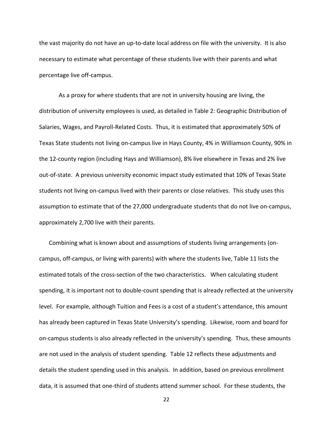the vast majority do not have an up‐to‐date local address on file with the university. It is also necessary to estimate what percentage of these students live with their parents and what percentage live off‐campus.

 As a proxy for where students that are not in university housing are living, the distribution of university employees is used, as detailed in Table 2: Geographic Distribution of Salaries, Wages, and Payroll‐Related Costs. Thus, it is estimated that approximately 50% of Texas State students not living on‐campus live in Hays County, 4% in Williamson County, 90% in the 12-county region (including Hays and Williamson), 8% live elsewhere in Texas and 2% live out‐of‐state. A previous university economic impact study estimated that 10% of Texas State students not living on‐campus lived with their parents or close relatives. This study uses this assumption to estimate that of the 27,000 undergraduate students that do not live on‐campus, approximately 2,700 live with their parents.

Combining what is known about and assumptions of students living arrangements (on‐ campus, off‐campus, or living with parents) with where the students live, Table 11 lists the estimated totals of the cross-section of the two characteristics. When calculating student spending, it is important not to double-count spending that is already reflected at the university level. For example, although Tuition and Fees is a cost of a student's attendance, this amount has already been captured in Texas State University's spending. Likewise, room and board for on‐campus students is also already reflected in the university's spending. Thus, these amounts are not used in the analysis of student spending. Table 12 reflects these adjustments and details the student spending used in this analysis. In addition, based on previous enrollment data, it is assumed that one‐third of students attend summer school. For these students, the

22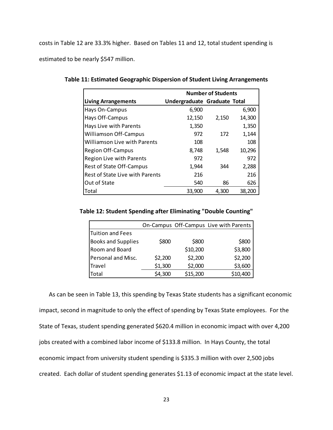costs in Table 12 are 33.3% higher.Based on Tables 11 and 12, total student spending is estimated to be nearly \$547 million.

|                                        | <b>Number of Students</b>    |       |        |  |  |  |
|----------------------------------------|------------------------------|-------|--------|--|--|--|
| <b>Living Arrangements</b>             | Undergraduate Graduate Total |       |        |  |  |  |
| Hays On-Campus                         | 6,900                        |       | 6,900  |  |  |  |
| Hays Off-Campus                        | 12,150                       | 2,150 | 14,300 |  |  |  |
| Hays Live with Parents                 | 1,350                        |       | 1,350  |  |  |  |
| <b>Williamson Off-Campus</b>           | 972                          | 172   | 1,144  |  |  |  |
| <b>Williamson Live with Parents</b>    | 108                          |       | 108    |  |  |  |
| <b>Region Off-Campus</b>               | 8,748                        | 1,548 | 10,296 |  |  |  |
| <b>Region Live with Parents</b>        | 972                          |       | 972    |  |  |  |
| Rest of State Off-Campus               | 1,944                        | 344   | 2,288  |  |  |  |
| <b>Rest of State Live with Parents</b> | 216                          |       | 216    |  |  |  |
| Out of State                           | 540                          | 86    | 626    |  |  |  |
| Total                                  | 33,900                       | 4.300 | 38.200 |  |  |  |

**Table 11: Estimated Geographic Dispersion of Student Living Arrangements**

#### **Table 12: Student Spending after Eliminating "Double Counting"**

|                           |         |          | On-Campus Off-Campus Live with Parents |
|---------------------------|---------|----------|----------------------------------------|
| <b>Tuition and Fees</b>   |         |          |                                        |
| <b>Books and Supplies</b> | \$800   | \$800    | \$800                                  |
| Room and Board            |         | \$10,200 | \$3,800                                |
| Personal and Misc.        | \$2,200 | \$2,200  | \$2,200                                |
| Travel                    | \$1,300 | \$2,000  | \$3,600                                |
| Total                     | \$4,300 | \$15,200 | \$10,400                               |

As can be seen in Table 13, this spending by Texas State students has a significant economic impact, second in magnitude to only the effect of spending by Texas State employees. For the State of Texas, student spending generated \$620.4 million in economic impact with over 4,200 jobs created with a combined labor income of \$133.8 million. In Hays County, the total economic impact from university student spending is \$335.3 million with over 2,500 jobs created. Each dollar of student spending generates \$1.13 of economic impact at the state level.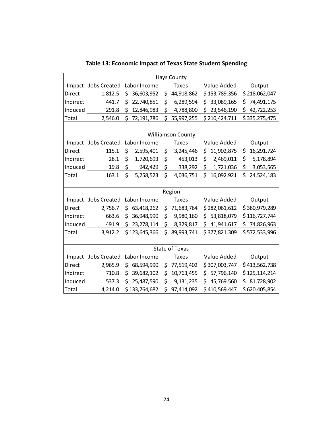|                          | <b>Hays County</b>  |    |               |    |                       |     |               |     |               |  |  |  |
|--------------------------|---------------------|----|---------------|----|-----------------------|-----|---------------|-----|---------------|--|--|--|
| Impact                   | <b>Jobs Created</b> |    | Labor Income  |    | <b>Taxes</b>          |     | Value Added   |     | Output        |  |  |  |
| Direct                   | 1,812.5             | \$ | 36,603,952    | \$ | 44,918,862            |     | \$153,789,356 |     | \$218,062,047 |  |  |  |
| Indirect                 | 441.7               | \$ | 22,740,851    | \$ | 6,289,594             | \$. | 33,089,165    | \$  | 74,491,175    |  |  |  |
| Induced                  | 291.8               | \$ | 12,846,983    | \$ | 4,788,800             | \$  | 23,546,190    | \$  | 42,722,253    |  |  |  |
| Total                    | 2,546.0             | \$ | 72,191,786    | \$ | 55,997,255            |     | \$210,424,711 |     | \$335,275,475 |  |  |  |
|                          |                     |    |               |    |                       |     |               |     |               |  |  |  |
| <b>Williamson County</b> |                     |    |               |    |                       |     |               |     |               |  |  |  |
| Impact                   | <b>Jobs Created</b> |    | Labor Income  |    | <b>Taxes</b>          |     | Value Added   |     | Output        |  |  |  |
| Direct                   | 115.1               | \$ | 2,595,401     | \$ | 3,245,446             | \$  | 11,902,875    | \$  | 16,291,724    |  |  |  |
| Indirect                 | 28.1                | \$ | 1,720,693     | \$ | 453,013               | \$  | 2,469,011     | \$  | 5,178,894     |  |  |  |
| Induced                  | 19.8                | \$ | 942,429       | \$ | 338,292               | \$  | 1,721,036     | \$  | 3,053,565     |  |  |  |
| Total                    | 163.1               | \$ | 5,258,523     | \$ | 4,036,751             | \$  | 16,092,921    | \$  | 24,524,183    |  |  |  |
|                          |                     |    |               |    |                       |     |               |     |               |  |  |  |
|                          |                     |    |               |    | Region                |     |               |     |               |  |  |  |
| Impact                   | <b>Jobs Created</b> |    | Labor Income  |    | <b>Taxes</b>          |     | Value Added   |     | Output        |  |  |  |
| Direct                   | 2,756.7             | \$ | 63,418,262    | \$ | 71,683,764            |     | \$282,061,612 |     | \$380,979,289 |  |  |  |
| Indirect                 | 663.6               | \$ | 36,948,990    | \$ | 9,980,160             |     | \$53,818,079  |     | \$116,727,744 |  |  |  |
| Induced                  | 491.9               | \$ | 23, 278, 114  | \$ | 8,329,817             |     | \$41,941,617  |     | \$74,826,963  |  |  |  |
| Total                    | 3,912.2             |    | \$123,645,366 | \$ | 89,993,741            |     | \$377,821,309 |     | \$572,533,996 |  |  |  |
|                          |                     |    |               |    |                       |     |               |     |               |  |  |  |
|                          |                     |    |               |    | <b>State of Texas</b> |     |               |     |               |  |  |  |
| Impact                   | <b>Jobs Created</b> |    | Labor Income  |    | Taxes                 |     | Value Added   |     | Output        |  |  |  |
| Direct                   | 2,965.9             | \$ | 68,594,990    | \$ | 77,519,402            |     | \$307,003,747 |     | \$413,562,738 |  |  |  |
| Indirect                 | 710.8               | \$ | 39,682,102    | \$ | 10,763,455            | \$. | 57,796,140    |     | \$125,114,214 |  |  |  |
| Induced                  | 537.3               | \$ | 25,487,590    | \$ | 9,131,235             | \$  | 45,769,560    | \$. | 81,728,902    |  |  |  |
| Total                    | 4,214.0             |    | \$133,764,682 | \$ | 97,414,092            |     | \$410,569,447 |     | \$620,405,854 |  |  |  |

**Table 13: Economic Impact of Texas State Student Spending**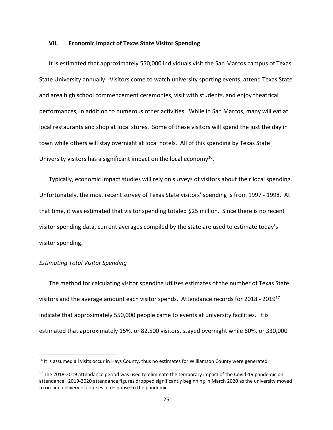#### **VII. Economic Impact of Texas State Visitor Spending**

It is estimated that approximately 550,000 individuals visit the San Marcos campus of Texas State University annually. Visitors come to watch university sporting events, attend Texas State and area high school commencement ceremonies, visit with students, and enjoy theatrical performances, in addition to numerous other activities. While in San Marcos, many will eat at local restaurants and shop at local stores. Some of these visitors will spend the just the day in town while others will stay overnight at local hotels. All of this spending by Texas State University visitors has a significant impact on the local economy<sup>16</sup>.

Typically, economic impact studies will rely on surveys of visitors about their local spending. Unfortunately, the most recent survey of Texas State visitors' spending is from 1997 ‐ 1998. At that time, it was estimated that visitor spending totaled \$25 million. Since there is no recent visitor spending data, current averages compiled by the state are used to estimate today's visitor spending.

#### *Estimating Total Visitor Spending*

The method for calculating visitor spending utilizes estimates of the number of Texas State visitors and the average amount each visitor spends. Attendance records for 2018 ‐ 201917 indicate that approximately 550,000 people came to events at university facilities. It is estimated that approximately 15%, or 82,500 visitors, stayed overnight while 60%, or 330,000

<sup>&</sup>lt;sup>16</sup> It is assumed all visits occur in Hays County, thus no estimates for Williamson County were generated.

 $17$  The 2018-2019 attendance period was used to eliminate the temporary impact of the Covid-19 pandemic on attendance. 2019‐2020 attendance figures dropped significantly beginning in March 2020 as the university moved to on‐line delivery of courses in response to the pandemic.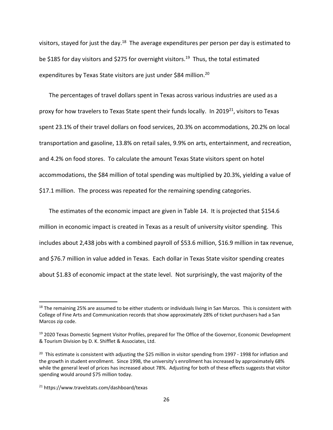visitors, stayed for just the day.<sup>18</sup> The average expenditures per person per day is estimated to be \$185 for day visitors and \$275 for overnight visitors.<sup>19</sup> Thus, the total estimated expenditures by Texas State visitors are just under \$84 million.<sup>20</sup>

The percentages of travel dollars spent in Texas across various industries are used as a proxy for how travelers to Texas State spent their funds locally. In 2019<sup>21</sup>, visitors to Texas spent 23.1% of their travel dollars on food services, 20.3% on accommodations, 20.2% on local transportation and gasoline, 13.8% on retail sales, 9.9% on arts, entertainment, and recreation, and 4.2% on food stores. To calculate the amount Texas State visitors spent on hotel accommodations, the \$84 million of total spending was multiplied by 20.3%, yielding a value of \$17.1 million. The process was repeated for the remaining spending categories.

The estimates of the economic impact are given in Table 14. It is projected that \$154.6 million in economic impact is created in Texas as a result of university visitor spending. This includes about 2,438 jobs with a combined payroll of \$53.6 million, \$16.9 million in tax revenue, and \$76.7 million in value added in Texas. Each dollar in Texas State visitor spending creates about \$1.83 of economic impact at the state level. Not surprisingly, the vast majority of the

 $18$  The remaining 25% are assumed to be either students or individuals living in San Marcos. This is consistent with College of Fine Arts and Communication records that show approximately 28% of ticket purchasers had a San Marcos zip code.

<sup>&</sup>lt;sup>19</sup> 2020 Texas Domestic Segment Visitor Profiles, prepared for The Office of the Governor, Economic Development & Tourism Division by D. K. Shifflet & Associates, Ltd.

<sup>&</sup>lt;sup>20</sup> This estimate is consistent with adjusting the \$25 million in visitor spending from 1997 - 1998 for inflation and the growth in student enrollment. Since 1998, the university's enrollment has increased by approximately 68% while the general level of prices has increased about 78%. Adjusting for both of these effects suggests that visitor spending would around \$75 million today.

<sup>21</sup> https://www.travelstats.com/dashboard/texas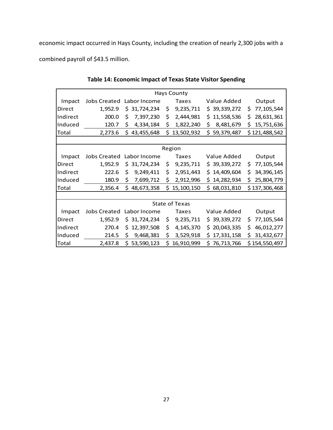economic impact occurred in Hays County, including the creation of nearly 2,300 jobs with a

combined payroll of \$43.5 million.

|          |                     |                   |    | <b>Hays County</b>    |                   |                  |  |  |  |  |
|----------|---------------------|-------------------|----|-----------------------|-------------------|------------------|--|--|--|--|
| Impact   | <b>Jobs Created</b> | Labor Income      |    | Taxes                 | Value Added       | Output           |  |  |  |  |
| Direct   | 1,952.9             | 31,724,234<br>Ś.  | \$ | 9,235,711             | \$39,339,272      | \$<br>77,105,544 |  |  |  |  |
| Indirect | 200.0               | 7,397,230<br>\$   | \$ | 2,444,981             | 11,558,536<br>\$  | 28,631,361<br>\$ |  |  |  |  |
| Induced  | 120.7               | 4,334,184<br>\$   | \$ | 1,822,240             | 8,481,679<br>\$   | 15,751,636<br>\$ |  |  |  |  |
| Total    | 2,273.6             | 43,455,648<br>\$. | \$ | 13,502,932            | \$59,379,487      | \$121,488,542    |  |  |  |  |
|          |                     |                   |    |                       |                   |                  |  |  |  |  |
| Region   |                     |                   |    |                       |                   |                  |  |  |  |  |
| Impact   | <b>Jobs Created</b> | Labor Income      |    | <b>Taxes</b>          | Value Added       | Output           |  |  |  |  |
| Direct   | 1,952.9             | 31,724,234<br>\$. | \$ | 9,235,711             | \$39,339,272      | 77,105,544<br>\$ |  |  |  |  |
| Indirect | 222.6               | 9,249,411<br>\$   | \$ | 2,951,443             | 14,409,604<br>\$. | 34,396,145<br>\$ |  |  |  |  |
| Induced  | 180.9               | \$<br>7,699,712   | \$ | 2,912,996             | 14,282,934<br>\$  | \$<br>25,804,779 |  |  |  |  |
| Total    | 2,356.4             | 48,673,358<br>\$. |    | \$15,100,150          | 68,031,810<br>Ś.  | \$137,306,468    |  |  |  |  |
|          |                     |                   |    |                       |                   |                  |  |  |  |  |
|          |                     |                   |    | <b>State of Texas</b> |                   |                  |  |  |  |  |
| Impact   | <b>Jobs Created</b> | Labor Income      |    | Taxes                 | Value Added       | Output           |  |  |  |  |
| Direct   | 1,952.9             | 31,724,234<br>Ś.  | \$ | 9,235,711             | \$39,339,272      | 77,105,544<br>\$ |  |  |  |  |
| Indirect | 270.4               | 12,397,508<br>Ś.  | \$ | 4,145,370             | 20,043,335<br>S   | \$<br>46,012,277 |  |  |  |  |
| Induced  | 214.5               | 9,468,381<br>Ś.   | \$ | 3,529,918             | 17,331,158<br>Ŝ   | \$<br>31,432,677 |  |  |  |  |
| Total    | 2,437.8             | \$<br>53,590,123  | \$ | 16,910,999            | \$<br>76,713,766  | \$154,550,497    |  |  |  |  |

**Table 14: Economic Impact of Texas State Visitor Spending**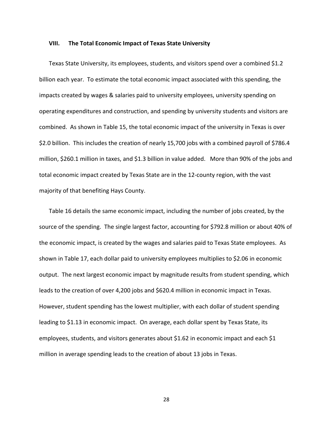#### **VIII. The Total Economic Impact of Texas State University**

Texas State University, its employees, students, and visitors spend over a combined \$1.2 billion each year. To estimate the total economic impact associated with this spending, the impacts created by wages & salaries paid to university employees, university spending on operating expenditures and construction, and spending by university students and visitors are combined. As shown in Table 15, the total economic impact of the university in Texas is over \$2.0 billion. This includes the creation of nearly 15,700 jobs with a combined payroll of \$786.4 million, \$260.1 million in taxes, and \$1.3 billion in value added. More than 90% of the jobs and total economic impact created by Texas State are in the 12‐county region, with the vast majority of that benefiting Hays County.

Table 16 details the same economic impact, including the number of jobs created, by the source of the spending. The single largest factor, accounting for \$792.8 million or about 40% of the economic impact, is created by the wages and salaries paid to Texas State employees. As shown in Table 17, each dollar paid to university employees multiplies to \$2.06 in economic output. The next largest economic impact by magnitude results from student spending, which leads to the creation of over 4,200 jobs and \$620.4 million in economic impact in Texas. However, student spending has the lowest multiplier, with each dollar of student spending leading to \$1.13 in economic impact. On average, each dollar spent by Texas State, its employees, students, and visitors generates about \$1.62 in economic impact and each \$1 million in average spending leads to the creation of about 13 jobs in Texas.

28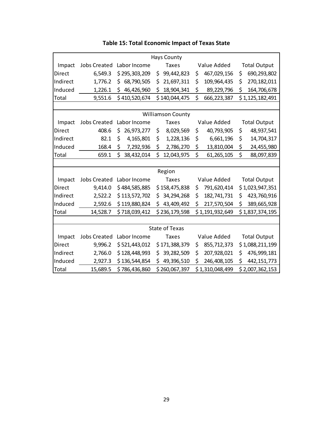|                          | <b>Hays County</b>  |                  |    |                                  |    |                 |                 |                     |  |  |
|--------------------------|---------------------|------------------|----|----------------------------------|----|-----------------|-----------------|---------------------|--|--|
| Impact                   | <b>Jobs Created</b> | Labor Income     |    | <b>Taxes</b>                     |    | Value Added     |                 | <b>Total Output</b> |  |  |
| Direct                   | 6,549.3             | \$295,303,209    | \$ | 99,442,823                       | \$ | 467,029,156     | \$              | 690,293,802         |  |  |
| Indirect                 | 1,776.2             | 68,790,505<br>\$ | \$ | 21,697,311                       | \$ | 109,964,435     | \$              | 270, 182, 011       |  |  |
| Induced                  | 1,226.1             | \$<br>46,426,960 | \$ | 18,904,341                       | \$ | 89,229,796      | \$              | 164,706,678         |  |  |
| Total                    | 9,551.6             | \$410,520,674    |    | \$140,044,475                    | \$ | 666,223,387     |                 | \$1,125,182,491     |  |  |
|                          |                     |                  |    |                                  |    |                 |                 |                     |  |  |
| <b>Williamson County</b> |                     |                  |    |                                  |    |                 |                 |                     |  |  |
| Impact                   | <b>Jobs Created</b> | Labor Income     |    | <b>Taxes</b>                     |    | Value Added     |                 | <b>Total Output</b> |  |  |
| Direct                   | 408.6               | \$<br>26,973,277 | \$ | 8,029,569                        | \$ | 40,793,905      | \$              | 48,937,541          |  |  |
| Indirect                 | 82.1                | \$<br>4,165,801  | \$ | 1,228,136                        | \$ | 6,661,196       | \$              | 14,704,317          |  |  |
| Induced                  | 168.4               | \$<br>7,292,936  | \$ | 2,786,270                        | \$ | 13,810,004      | \$              | 24,455,980          |  |  |
| Total                    | 659.1               | \$<br>38,432,014 | \$ | 12,043,975                       | \$ | 61, 265, 105    | \$              | 88,097,839          |  |  |
|                          |                     |                  |    |                                  |    |                 |                 |                     |  |  |
|                          |                     |                  |    | Region                           |    |                 |                 |                     |  |  |
| Impact                   | <b>Jobs Created</b> | Labor Income     |    | <b>Taxes</b>                     |    | Value Added     |                 | <b>Total Output</b> |  |  |
| Direct                   | 9,414.0             | \$484,585,885    |    | \$158,475,838                    | \$ | 791,620,414     | \$1,023,947,351 |                     |  |  |
| Indirect                 | 2,522.2             | \$113,572,702    | \$ | 34,294,268                       | \$ | 182,741,731     | \$              | 423,760,916         |  |  |
| Induced                  | 2,592.6             | \$119,880,824    | \$ | 43,409,492                       | \$ | 217,570,504     | \$              | 389,665,928         |  |  |
| Total                    | 14,528.7            | \$718,039,412    |    | \$236,179,598                    |    | \$1,191,932,649 |                 | \$1,837,374,195     |  |  |
|                          |                     |                  |    |                                  |    |                 |                 |                     |  |  |
|                          |                     |                  |    | <b>State of Texas</b>            |    |                 |                 |                     |  |  |
| Impact                   | <b>Jobs Created</b> | Labor Income     |    | <b>Taxes</b>                     |    | Value Added     |                 | <b>Total Output</b> |  |  |
| Direct                   | 9,996.2             | \$521,443,012    |    | \$171,388,379                    | \$ | 855,712,373     |                 | \$1,088,211,199     |  |  |
| Indirect                 | 2,766.0             | \$128,448,993    | \$ | 39,282,509                       | \$ | 207,928,021     | \$              | 476,999,181         |  |  |
| Induced                  | 2,927.3             | \$136,544,854    | \$ | 49,396,510                       | \$ | 246,408,105     | \$              | 442, 151, 773       |  |  |
| Total                    | 15,689.5            | \$786,436,860    |    | \$1,310,048,499<br>\$260,067,397 |    |                 | \$2,007,362,153 |                     |  |  |

**Table 15: Total Economic Impact of Texas State**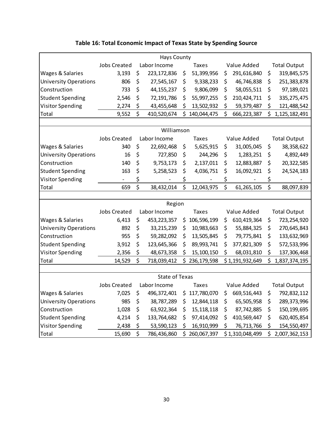| <b>Hays County</b>           |                                     |    |                       |    |               |             |                 |                     |                     |  |  |
|------------------------------|-------------------------------------|----|-----------------------|----|---------------|-------------|-----------------|---------------------|---------------------|--|--|
|                              | <b>Jobs Created</b><br>Labor Income |    |                       |    | <b>Taxes</b>  | Value Added |                 |                     | <b>Total Output</b> |  |  |
| Wages & Salaries             | 3,193                               | \$ | 223, 172, 836         | \$ | 51,399,956    | Ş           | 291,616,840     | \$                  | 319,845,575         |  |  |
| <b>University Operations</b> | 806                                 | \$ | 27,545,167            | \$ | 9,338,233     | \$          | 46,746,838      | \$                  | 251,383,878         |  |  |
| Construction                 | 733                                 | \$ | 44, 155, 237          | \$ | 9,806,099     | \$          | 58,055,511      | \$                  | 97,189,021          |  |  |
| <b>Student Spending</b>      | 2,546                               | \$ | 72,191,786            | \$ | 55,997,255    | \$          | 210,424,711     | \$                  | 335, 275, 475       |  |  |
| <b>Visitor Spending</b>      | 2,274                               | \$ | 43,455,648            | \$ | 13,502,932    | \$          | 59,379,487      | \$                  | 121,488,542         |  |  |
| Total                        | 9,552                               | \$ | 410,520,674           | \$ | 140,044,475   | \$          | 666,223,387     | \$                  | 1,125,182,491       |  |  |
|                              |                                     |    |                       |    |               |             |                 |                     |                     |  |  |
|                              |                                     |    | Williamson            |    |               |             |                 |                     |                     |  |  |
|                              | <b>Jobs Created</b>                 |    | Labor Income          |    | <b>Taxes</b>  |             | Value Added     |                     | <b>Total Output</b> |  |  |
| Wages & Salaries             | 340                                 | \$ | 22,692,468            | \$ | 5,625,915     | \$          | 31,005,045      | \$                  | 38,358,622          |  |  |
| <b>University Operations</b> | 16                                  | \$ | 727,850               | \$ | 244,296       | \$          | 1,283,251       | \$                  | 4,892,449           |  |  |
| Construction                 | 140                                 | \$ | 9,753,173             | \$ | 2,137,011     | \$          | 12,883,887      | \$                  | 20,322,585          |  |  |
| <b>Student Spending</b>      | 163                                 | \$ | 5,258,523             | \$ | 4,036,751     | \$          | 16,092,921      | \$                  | 24,524,183          |  |  |
| <b>Visitor Spending</b>      | $\blacksquare$                      | \$ |                       | \$ |               | \$          |                 | \$                  |                     |  |  |
| Total                        | 659                                 | \$ | 38,432,014            | \$ | 12,043,975    | \$          | 61, 265, 105    | \$                  | 88,097,839          |  |  |
|                              |                                     |    |                       |    |               |             |                 |                     |                     |  |  |
|                              |                                     |    | Region                |    |               |             |                 |                     |                     |  |  |
|                              | <b>Jobs Created</b>                 |    | Labor Income          |    | <b>Taxes</b>  |             | Value Added     | <b>Total Output</b> |                     |  |  |
| Wages & Salaries             | 6,413                               | \$ | 453, 223, 357         | \$ | 106,596,199   | \$          | 610,419,364     | \$                  | 723,254,920         |  |  |
| <b>University Operations</b> | 892                                 | \$ | 33,215,239            | \$ | 10,983,663    | \$          | 55,884,325      | \$                  | 270,645,843         |  |  |
| Construction                 | 955                                 | \$ | 59,282,092            | \$ | 13,505,845    | \$          | 79,775,841      | \$                  | 133,632,969         |  |  |
| <b>Student Spending</b>      | 3,912                               | \$ | 123,645,366           | \$ | 89,993,741    | \$          | 377,821,309     | \$                  | 572,533,996         |  |  |
| <b>Visitor Spending</b>      | 2,356                               | \$ | 48,673,358            | \$ | 15,100,150    | \$          | 68,031,810      | \$                  | 137,306,468         |  |  |
| Total                        | 14,529                              | \$ | 718,039,412           |    | \$236,179,598 |             | \$1,191,932,649 | \$                  | 1,837,374,195       |  |  |
|                              |                                     |    |                       |    |               |             |                 |                     |                     |  |  |
|                              |                                     |    | <b>State of Texas</b> |    |               |             |                 |                     |                     |  |  |
|                              | <b>Jobs Created</b>                 |    | Labor Income          |    | Taxes         |             | Value Added     |                     | <b>Total Output</b> |  |  |
| <b>Wages &amp; Salaries</b>  | 7,025                               |    | \$496,372,401         |    | \$117,780,070 |             | \$669,516,443   | \$.                 | 792,832,112         |  |  |
| <b>University Operations</b> | 985                                 | \$ | 38,787,289            | \$ | 12,844,118    | \$          | 65,505,958      | \$,                 | 289,373,996         |  |  |
| Construction                 | 1,028                               | \$ | 63,922,364            | \$ | 15, 118, 118  | \$          | 87,742,885      | \$                  | 150, 199, 695       |  |  |
| <b>Student Spending</b>      | 4,214                               | \$ | 133,764,682           | \$ | 97,414,092    | Ş           | 410,569,447     | Ş                   | 620,405,854         |  |  |
| <b>Visitor Spending</b>      | 2,438                               | \$ | 53,590,123            | \$ | 16,910,999    | \$          | 76,713,766      | \$.                 | 154,550,497         |  |  |
| Total                        | 15,690                              | \$ | 786,436,860           |    | \$260,067,397 |             | \$1,310,048,499 | \$                  | 2,007,362,153       |  |  |

## **Table 16: Total Economic Impact of Texas State by Spending Source**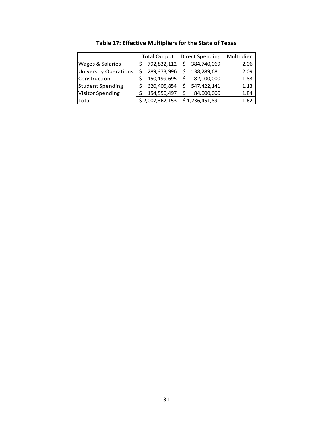|                              |    | <b>Total Output</b> |    | <b>Direct Spending</b> | Multiplier |
|------------------------------|----|---------------------|----|------------------------|------------|
| <b>Wages &amp; Salaries</b>  | Ś. | 792,832,112         |    | \$384,740,069          | 2.06       |
| <b>University Operations</b> |    | \$289,373,996       | Ś. | 138,289,681            | 2.09       |
| Construction                 |    | 150,199,695         | Ś. | 82,000,000             | 1.83       |
| <b>Student Spending</b>      |    | 620,405,854         | Ś. | 547,422,141            | 1.13       |
| <b>Visitor Spending</b>      |    | 154,550,497         | S  | 84,000,000             | 1.84       |
| Total                        |    | \$2,007,362,153     |    | \$1,236,451,891        | 1.62       |

**Table 17: Effective Multipliers for the State of Texas**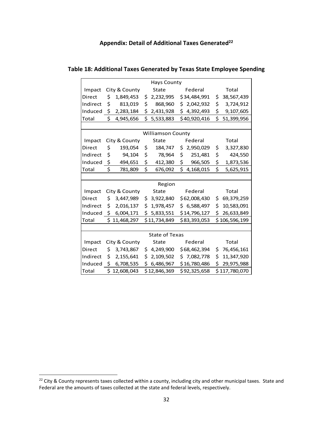### **Appendix: Detail of Additional Taxes Generated22**

| <b>Hays County</b>       |               |                      |    |                            |    |              |     |               |  |  |  |
|--------------------------|---------------|----------------------|----|----------------------------|----|--------------|-----|---------------|--|--|--|
| Impact                   |               | City & County        |    | State                      |    | Federal      |     | Total         |  |  |  |
| Direct                   | \$            | 1,849,453            |    | \$2,232,995 \$34,484,991   |    |              | \$  | 38,567,439    |  |  |  |
| Indirect                 | \$            | 813,019              | \$ | 868,960                    |    | \$2,042,932  | \$  | 3,724,912     |  |  |  |
|                          |               | Induced \$ 2,283,184 |    | \$2,431,928                |    | \$4,392,493  | \$  | 9,107,605     |  |  |  |
| Total                    | \$            | 4,945,656            | \$ | 5,533,883                  |    | \$40,920,416 | \$  | 51,399,956    |  |  |  |
|                          |               |                      |    |                            |    |              |     |               |  |  |  |
| <b>Williamson County</b> |               |                      |    |                            |    |              |     |               |  |  |  |
| Impact                   | City & County |                      |    | State                      |    | Federal      |     | Total         |  |  |  |
| Direct                   | \$            | 193,054              | \$ | 184,747                    | \$ | 2,950,029    | \$  | 3,327,830     |  |  |  |
| Indirect                 | \$            | 94,104               | \$ | 78,964                     | \$ | 251,481      | \$  | 424,550       |  |  |  |
| Induced                  | \$            | 494,651              | \$ | 412,380                    | \$ | 966,505      | \$  | 1,873,536     |  |  |  |
| Total                    | \$            | 781,809              | \$ | 676,092                    |    | \$4,168,015  | \$  | 5,625,915     |  |  |  |
|                          |               |                      |    |                            |    |              |     |               |  |  |  |
|                          |               |                      |    | Region                     |    |              |     |               |  |  |  |
| Impact                   |               | City & County        |    | State                      |    | Federal      |     | Total         |  |  |  |
| Direct                   | \$            | 3,447,989            |    | \$3,922,840                |    | \$62,008,430 |     | \$69,379,259  |  |  |  |
| Indirect                 | \$.           | 2,016,137            |    | \$1,978,457                |    | \$6,588,497  | \$. | 10,583,091    |  |  |  |
| Induced                  |               | \$6,004,171          |    | \$5,833,551                |    | \$14,796,127 | \$  | 26,633,849    |  |  |  |
| Total                    |               | \$11,468,297         |    | \$11,734,849               |    | \$83,393,053 |     | \$106,596,199 |  |  |  |
|                          |               |                      |    |                            |    |              |     |               |  |  |  |
|                          |               |                      |    | <b>State of Texas</b>      |    |              |     |               |  |  |  |
| Impact                   |               | City & County        |    | State                      |    | Federal      |     | Total         |  |  |  |
| Direct                   | \$.           | 3,743,867            |    | $$4,249,900$ $$68,462,394$ |    |              |     | \$76,456,161  |  |  |  |
| Indirect                 | \$            | 2,155,641            |    | \$2,109,502                |    | \$7,082,778  | \$  | 11,347,920    |  |  |  |
|                          |               | Induced \$ 6,708,535 |    | $$6,486,967$ $$16,780,486$ |    |              | \$  | 29,975,988    |  |  |  |
| Total                    |               | \$12,608,043         |    | \$12,846,369               |    | \$92,325,658 |     | \$117,780,070 |  |  |  |

| Table 18: Additional Taxes Generated by Texas State Employee Spending |  |  |  |
|-----------------------------------------------------------------------|--|--|--|
|-----------------------------------------------------------------------|--|--|--|

<sup>&</sup>lt;sup>22</sup> City & County represents taxes collected within a county, including city and other municipal taxes. State and Federal are the amounts of taxes collected at the state and federal levels, respectively.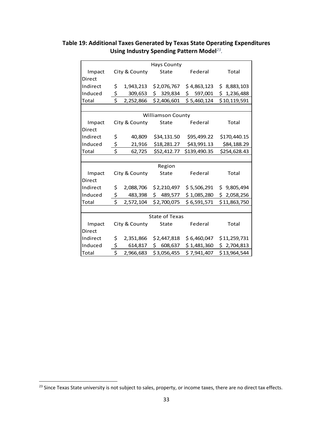|               |                         |               | <b>Hays County</b>       |              |              |
|---------------|-------------------------|---------------|--------------------------|--------------|--------------|
| Impact        |                         | City & County | State                    | Federal      | Total        |
| <b>Direct</b> |                         |               |                          |              |              |
| Indirect      | \$                      | 1,943,213     | \$2,076,767              | \$4,863,123  | \$8,883,103  |
| Induced       | \$                      | 309,653       | \$329,834                | \$597,001    | \$1,236,488  |
| Total         | \$                      | 2,252,866     | \$2,406,601              | \$5,460,124  | \$10,119,591 |
|               |                         |               |                          |              |              |
|               |                         |               | <b>Williamson County</b> |              |              |
| Impact        |                         | City & County | State                    | Federal      | Total        |
| Direct        |                         |               |                          |              |              |
| Indirect      | \$                      | 40,809        | \$34,131.50              | \$95,499.22  | \$170,440.15 |
| Induced       | \$                      | 21,916        | \$18,281.27              | \$43,991.13  | \$84,188.29  |
| Total         | \$                      | 62,725        | \$52,412.77              | \$139,490.35 | \$254,628.43 |
|               |                         |               |                          |              |              |
|               |                         |               | Region                   |              |              |
| Impact        |                         | City & County | State                    | Federal      | Total        |
| Direct        |                         |               |                          |              |              |
| Indirect      | \$                      | 2,088,706     | \$2,210,497              | \$5,506,291  | \$9,805,494  |
| Induced       | \$                      | 483,398       | \$489,577                | \$1,085,280  | \$2,058,256  |
| Total         | \$                      | 2,572,104     | \$2,700,075              | \$6,591,571  | \$11,863,750 |
|               |                         |               |                          |              |              |
|               |                         |               | State of Texas           |              |              |
| Impact        |                         | City & County | State                    | Federal      | Total        |
| <b>Direct</b> |                         |               |                          |              |              |
| Indirect      | \$                      | 2,351,866     | \$2,447,818              | \$6,460,047  | \$11,259,731 |
| Induced       | \$                      | 614,817       | \$608,637                | \$1,481,360  | \$2,704,813  |
| Total         | $\overline{\mathsf{S}}$ | 2,966,683     | \$3,056,455              | \$7,941,407  | \$13,964,544 |

## **Table 19: Additional Taxes Generated by Texas State Operating Expenditures Using Industry Spending Pattern Model***23.*

<sup>&</sup>lt;sup>23</sup> Since Texas State university is not subject to sales, property, or income taxes, there are no direct tax effects.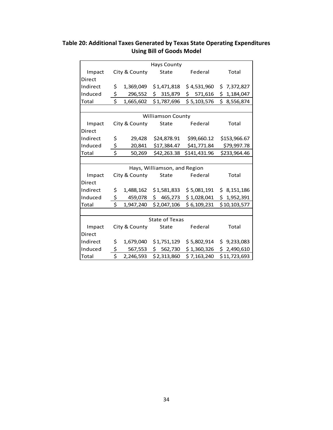| Table 20: Additional Taxes Generated by Texas State Operating Expenditures |
|----------------------------------------------------------------------------|
| <b>Using Bill of Goods Model</b>                                           |

|               |                               |               | <b>Hays County</b>           |              |              |
|---------------|-------------------------------|---------------|------------------------------|--------------|--------------|
| Impact        |                               | City & County | State                        | Federal      | Total        |
| <b>Direct</b> |                               |               |                              |              |              |
| Indirect      | \$                            | 1,369,049     | \$1,471,818                  | \$4,531,960  | \$7,372,827  |
| Induced       | $\frac{1}{2}$                 | 296,552       | \$315,879                    | \$571,616    | \$1,184,047  |
| Total         | \$                            | 1,665,602     | \$1,787,696                  | \$5,103,576  | \$3,556,874  |
|               |                               |               |                              |              |              |
|               |                               |               | <b>Williamson County</b>     |              |              |
| Impact        |                               | City & County | State                        | Federal      | Total        |
| Direct        |                               |               |                              |              |              |
| Indirect      | \$                            | 29,428        | \$24,878.91                  | \$99,660.12  | \$153,966.67 |
| Induced       | \$                            | 20,841        | \$17,384.47                  | \$41,771.84  | \$79,997.78  |
| Total         | $\dot{\mathsf{S}}$            | 50,269        | \$42,263.38                  | \$141,431.96 | \$233,964.46 |
|               |                               |               |                              |              |              |
|               |                               |               | Hays, Williamson, and Region |              |              |
| Impact        |                               | City & County | State                        | Federal      | Total        |
| Direct        |                               |               |                              |              |              |
| Indirect      | \$                            | 1,488,162     | \$1,581,833                  | \$5,081,191  | \$3,151,186  |
| Induced       | \$                            | 459,078       | \$465,273                    | \$1,028,041  | \$1,952,391  |
| Total         | \$                            | 1,947,240     | \$2,047,106                  | \$6,109,231  | \$10,103,577 |
|               |                               |               |                              |              |              |
|               |                               |               | <b>State of Texas</b>        |              |              |
| Impact        |                               | City & County | State                        | Federal      | Total        |
| Direct        |                               |               |                              |              |              |
| Indirect      | \$                            | 1,679,040     | \$1,751,129                  | \$5,802,914  | \$9,233,083  |
| Induced       | \$                            | 567,553       | \$562,730                    | \$1,360,326  | \$2,490,610  |
| Total         | $\overline{\boldsymbol{\xi}}$ | 2,246,593     | \$2,313,860                  | \$7,163,240  | \$11,723,693 |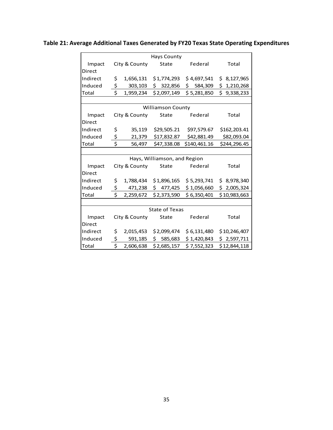**Table 21: Average Additional Taxes Generated by FY20 Texas State Operating Expenditures**

|          |                          |               | Hays County                  |              |              |  |  |  |  |  |
|----------|--------------------------|---------------|------------------------------|--------------|--------------|--|--|--|--|--|
| Impact   |                          | City & County | State                        | Federal      | Total        |  |  |  |  |  |
| Direct   |                          |               |                              |              |              |  |  |  |  |  |
| Indirect | \$                       | 1,656,131     | \$1,774,293                  | \$4,697,541  | \$8,127,965  |  |  |  |  |  |
| Induced  | \$                       | 303,103       | \$322,856                    | \$584,309    | \$1,210,268  |  |  |  |  |  |
| Total    | \$                       | 1,959,234     | \$2,097,149                  | \$5,281,850  | \$9,338,233  |  |  |  |  |  |
|          |                          |               |                              |              |              |  |  |  |  |  |
|          | <b>Williamson County</b> |               |                              |              |              |  |  |  |  |  |
| Impact   |                          | City & County | State                        | Federal      | Total        |  |  |  |  |  |
| Direct   |                          |               |                              |              |              |  |  |  |  |  |
| Indirect | \$                       | 35,119        | \$29,505.21                  | \$97,579.67  | \$162,203.41 |  |  |  |  |  |
| Induced  | \$                       | 21,379        | \$17,832.87                  | \$42,881.49  | \$82,093.04  |  |  |  |  |  |
| Total    | \$                       | 56,497        | \$47,338.08                  | \$140,461.16 | \$244,296.45 |  |  |  |  |  |
|          |                          |               |                              |              |              |  |  |  |  |  |
|          |                          |               | Hays, Williamson, and Region |              |              |  |  |  |  |  |
| Impact   |                          | City & County | State                        | Federal      | Total        |  |  |  |  |  |
| Direct   |                          |               |                              |              |              |  |  |  |  |  |
| Indirect | \$                       | 1,788,434     | \$1,896,165                  | \$5,293,741  | \$8,978,340  |  |  |  |  |  |
| Induced  | $\frac{1}{2}$            | 471,238       | \$477,425                    | \$1,056,660  | \$2,005,324  |  |  |  |  |  |
| Total    | Ś                        | 2,259,672     | \$2,373,590                  | \$6,350,401  | \$10,983,663 |  |  |  |  |  |
|          |                          |               |                              |              |              |  |  |  |  |  |
|          |                          |               | <b>State of Texas</b>        |              |              |  |  |  |  |  |
| Impact   |                          | City & County | State                        | Federal      | Total        |  |  |  |  |  |
| Direct   |                          |               |                              |              |              |  |  |  |  |  |
| Indirect | \$                       | 2,015,453     | \$2,099,474                  | \$6,131,480  | \$10,246,407 |  |  |  |  |  |
| Induced  | \$                       | 591,185       | \$585,683                    | \$1,420,843  | \$2,597,711  |  |  |  |  |  |
| Total    | $\overline{\mathsf{S}}$  | 2,606,638     | \$2,685,157                  | \$7,552,323  | \$12,844,118 |  |  |  |  |  |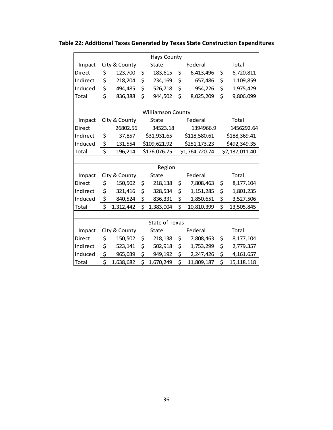|                          |    |               |    | <b>Hays County</b>    |         |                |    |                |  |  |
|--------------------------|----|---------------|----|-----------------------|---------|----------------|----|----------------|--|--|
| Impact                   |    | City & County |    | State                 |         | Federal        |    | Total          |  |  |
| Direct                   | \$ | 123,700       | \$ | 183,615               | \$      | 6,413,496      | \$ | 6,720,811      |  |  |
| Indirect                 | \$ | 218,204       | \$ | 234,169               | \$      | 657,486        | \$ | 1,109,859      |  |  |
| Induced                  | \$ | 494,485       | \$ | 526,718               | \$      | 954,226        | \$ | 1,975,429      |  |  |
| Total                    | \$ | 836,388       | \$ | 944,502               | \$      | 8,025,209      | \$ | 9,806,099      |  |  |
|                          |    |               |    |                       |         |                |    |                |  |  |
| <b>Williamson County</b> |    |               |    |                       |         |                |    |                |  |  |
| Impact                   |    | City & County |    | State                 | Federal |                |    | Total          |  |  |
| Direct                   |    | 26802.56      |    | 34523.18              |         | 1394966.9      |    | 1456292.64     |  |  |
| Indirect                 | \$ | 37,857        |    | \$31,931.65           |         | \$118,580.61   |    | \$188,369.41   |  |  |
| Induced                  | \$ | 131,554       |    | \$109,621.92          |         | \$251,173.23   |    | \$492,349.35   |  |  |
| Total                    | \$ | 196,214       |    | \$176,076.75          |         | \$1,764,720.74 |    | \$2,137,011.40 |  |  |
|                          |    |               |    |                       |         |                |    |                |  |  |
|                          |    |               |    | Region                |         |                |    |                |  |  |
| Impact                   |    | City & County |    | <b>State</b>          |         | Federal        |    | Total          |  |  |
| Direct                   | \$ | 150,502       | \$ | 218,138               | \$      | 7,808,463      | \$ | 8,177,104      |  |  |
| Indirect                 | \$ | 321,416       | \$ | 328,534               | \$      | 1,151,285      | \$ | 1,801,235      |  |  |
| Induced                  | \$ | 840,524       | \$ | 836,331               | \$.     | 1,850,651      | \$ | 3,527,506      |  |  |
| Total                    | \$ | 1,312,442     | \$ | 1,383,004             | \$      | 10,810,399     | \$ | 13,505,845     |  |  |
|                          |    |               |    |                       |         |                |    |                |  |  |
|                          |    |               |    | <b>State of Texas</b> |         |                |    |                |  |  |
| Impact                   |    | City & County |    | State                 |         | Federal        |    | Total          |  |  |
| Direct                   | \$ | 150,502       | \$ | 218,138               | \$      | 7,808,463      | \$ | 8,177,104      |  |  |
| Indirect                 | \$ | 523,141       | \$ | 502,918               | \$      | 1,753,299      | \$ | 2,779,357      |  |  |
| Induced                  | \$ | 965,039       | \$ | 949,192               | \$      | 2,247,426      | \$ | 4,161,657      |  |  |
| Total                    | \$ | 1,638,682     | \$ | 1,670,249             | \$      | 11,809,187     | \$ | 15, 118, 118   |  |  |

**Table 22: Additional Taxes Generated by Texas State Construction Expenditures**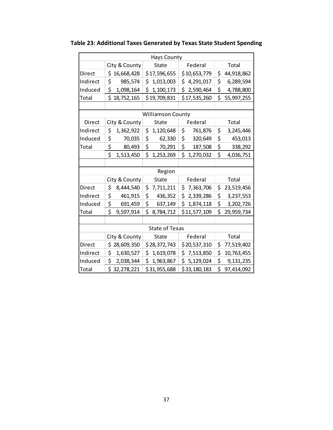|                          |    |               |    | <b>Hays County</b> |    |              |    |            |
|--------------------------|----|---------------|----|--------------------|----|--------------|----|------------|
|                          |    | City & County |    | <b>State</b>       |    | Federal      |    | Total      |
| Direct                   |    | \$16,668,428  |    | \$17,596,655       |    | \$10,653,779 | \$ | 44,918,862 |
| Indirect                 | \$ | 985,574       | \$ | 1,013,003          |    | \$4,291,017  | \$ | 6,289,594  |
| Induced                  | \$ | 1,098,164     | \$ | 1,100,173          |    | \$2,590,464  | \$ | 4,788,800  |
| Total                    |    | \$18,752,165  |    | \$19,709,831       |    | \$17,535,260 | \$ | 55,997,255 |
|                          |    |               |    |                    |    |              |    |            |
| <b>Williamson County</b> |    |               |    |                    |    |              |    |            |
| Direct                   |    | City & County |    | <b>State</b>       |    | Federal      |    | Total      |
| Indirect                 | \$ | 1,362,922     | \$ | 1,120,648          | \$ | 761,876      | \$ | 3,245,446  |
| Induced                  | \$ | 70,035        | \$ | 62,330             | \$ | 320,649      | \$ | 453,013    |
| Total                    | \$ | 80,493        | \$ | 70,291             | \$ | 187,508      | \$ | 338,292    |
|                          | \$ | 1,513,450     | \$ | 1,253,269          | \$ | 1,270,032    | \$ | 4,036,751  |
|                          |    |               |    |                    |    |              |    |            |
|                          |    |               |    | Region             |    |              |    |            |
|                          |    | City & County |    | <b>State</b>       |    | Federal      |    | Total      |
| Direct                   | \$ | 8,444,540     | \$ | 7,711,211          |    | \$7,363,706  | \$ | 23,519,456 |
| Indirect                 | \$ | 461,915       | \$ | 436,352            |    | \$2,339,286  | \$ | 3,237,553  |
| Induced                  | \$ | 691,459       | \$ | 637,149            |    | \$1,874,118  | \$ | 3,202,726  |
| Total                    | \$ | 9,597,914     | \$ | 8,784,712          |    | \$11,577,109 | \$ | 29,959,734 |
|                          |    |               |    |                    |    |              |    |            |
| <b>State of Texas</b>    |    |               |    |                    |    |              |    |            |
|                          |    | City & County |    | State              |    | Federal      |    | Total      |
| <b>Direct</b>            |    | \$28,609,350  |    | \$28,372,743       |    | \$20,537,310 | \$ | 77,519,402 |
| Indirect                 | \$ | 1,630,527     | \$ | 1,619,078          |    | \$7,513,850  | \$ | 10,763,455 |
| Induced                  | \$ | 2,038,344     | \$ | 1,963,867          | \$ | 5,129,024    | \$ | 9,131,235  |
| Total                    |    | \$32,278,221  |    | \$31,955,688       |    | \$33,180,183 | \$ | 97,414,092 |

**Table 23: Additional Taxes Generated by Texas State Student Spending**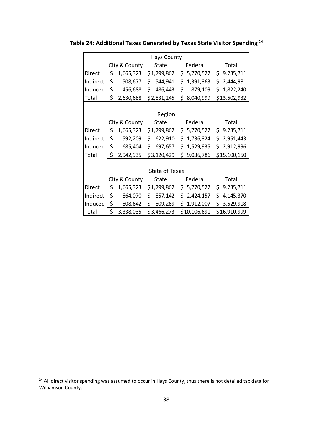| <b>Hays County</b>    |               |               |       |             |         |                           |       |              |
|-----------------------|---------------|---------------|-------|-------------|---------|---------------------------|-------|--------------|
|                       |               | City & County |       | State       |         | Federal                   |       | Total        |
| Direct                | \$            | 1,665,323     |       | \$1,799,862 |         | \$5,770,527               |       | \$9,235,711  |
| Indirect              | \$            | 508,677       | \$    | 544,941     | \$      | 1,391,363                 |       | \$2,444,981  |
| Induced \$            |               | 456,688       | \$    | 486,443     | \$      | 879,109                   |       | \$1,822,240  |
| Total                 | \$            | 2,630,688     |       | \$2,831,245 | \$      | 8,040,999                 |       | \$13,502,932 |
|                       |               |               |       |             |         |                           |       |              |
|                       |               |               |       | Region      |         |                           |       |              |
|                       |               | City & County |       | State       |         | Federal                   |       | Total        |
| Direct                | \$.           | 1,665,323     |       | \$1,799,862 |         | $$5,770,527$ $$9,235,711$ |       |              |
| Indirect              | \$            | 592,209       | \$    | 622,910     | \$      | 1,736,324                 |       | \$2,951,443  |
| Induced $\oint$       |               | 685,404       | \$    | 697,657     | \$.     | 1,529,935                 |       | \$2,912,996  |
| Total                 |               | \$2,942,935   |       | \$3,120,429 |         | \$9,036,786               |       | \$15,100,150 |
|                       |               |               |       |             |         |                           |       |              |
| <b>State of Texas</b> |               |               |       |             |         |                           |       |              |
|                       | City & County |               | State |             | Federal |                           | Total |              |
| Direct                | \$.           | 1,665,323     |       | \$1,799,862 |         | \$5,770,527               |       | \$9,235,711  |
| Indirect              | \$            | 864,070       | \$.   | 857,142     |         | \$2,424,157               |       | \$4,145,370  |
| Induced $\oint$       |               | 808,642       | \$    | 809,269     |         | \$1,912,007               |       | \$3,529,918  |
| Total                 |               | \$3,338,035   |       | \$3,466,273 |         | \$10,106,691              |       | \$16,910,999 |

**Table 24: Additional Taxes Generated by Texas State Visitor Spending <sup>24</sup>**

<sup>&</sup>lt;sup>24</sup> All direct visitor spending was assumed to occur in Hays County, thus there is not detailed tax data for Williamson County.